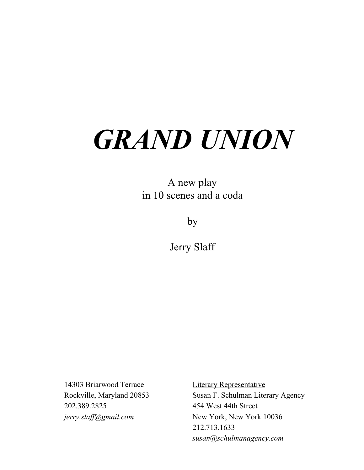# *GRAND UNION*

A new play in 10 scenes and a coda

by

Jerry Slaff

14303 Briarwood Terrace Literary Representative 202.389.2825 454 West 44th Street

Rockville, Maryland 20853 Susan F. Schulman Literary Agency *jerry.slaff@gmail.com* New York, New York 10036 212.713.1633 *susan@schulmanagency.com*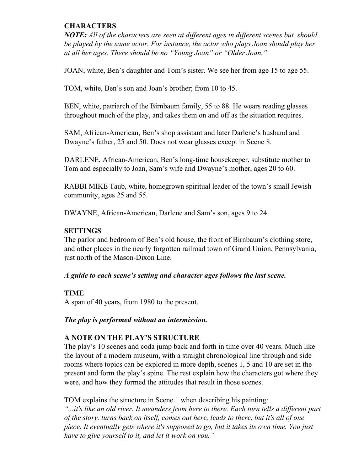# **CHARACTERS**

*NOTE: All of the characters are seen at dif erent ages in dif erent scenes but should be played by the same actor. For instance, the actor who plays Joan should play her at all her ages. There should be no "Young Joan" or "Older Joan."*

JOAN, white, Ben's daughter and Tom's sister. We see her from age 15 to age 55.

TOM, white, Ben's son and Joan's brother; from 10 to 45.

BEN, white, patriarch of the Birnbaum family, 55 to 88. He wears reading glasses throughout much of the play, and takes them on and off as the situation requires.

SAM, African-American, Ben's shop assistant and later Darlene's husband and Dwayne's father, 25 and 50. Does not wear glasses except in Scene 8.

DARLENE, African-American, Ben's long-time housekeeper, substitute mother to Tom and especially to Joan, Sam's wife and Dwayne's mother, ages 20 to 60.

RABBI MIKE Taub, white, homegrown spiritual leader of the town's small Jewish community, ages 25 and 55.

DWAYNE, African-American, Darlene and Sam's son, ages 9 to 24.

# **SETTINGS**

The parlor and bedroom of Ben's old house, the front of Birnbaum's clothing store, and other places in the nearly forgotten railroad town of Grand Union, Pennsylvania, just north of the Mason-Dixon Line.

# *A guide to each scene's setting and character ages follows the last scene.*

# **TIME**

A span of 40 years, from 1980 to the present.

# *The play is performed without an intermission.*

# **A NOTE ON THE PLAY'S STRUCTURE**

The play's 10 scenes and coda jump back and forth in time over 40 years. Much like the layout of a modern museum, with a straight chronological line through and side rooms where topics can be explored in more depth, scenes 1, 5 and 10 are set in the present and form the play's spine. The rest explain how the characters got where they were, and how they formed the attitudes that result in those scenes.

TOM explains the structure in Scene 1 when describing his painting: *"...it's like an old river. It meanders from here to there. Each turn tells a dif erent part of the story, turns back on itself, comes out here, leads to there, but it's all of one piece. It eventually gets where it's supposed to go, but it takes its own time. You just have to give yourself to it, and let it work on you."*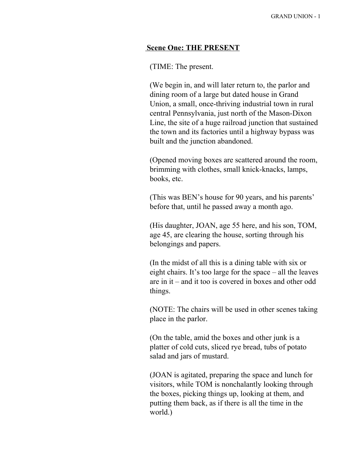#### **Scene One: THE PRESENT**

# (TIME: The present.

(We begin in, and will later return to, the parlor and dining room of a large but dated house in Grand Union, a small, once-thriving industrial town in rural central Pennsylvania, just north of the Mason-Dixon Line, the site of a huge railroad junction that sustained the town and its factories until a highway bypass was built and the junction abandoned.

(Opened moving boxes are scattered around the room, brimming with clothes, small knick-knacks, lamps, books, etc.

(This was BEN's house for 90 years, and his parents' before that, until he passed away a month ago.

(His daughter, JOAN, age 55 here, and his son, TOM, age 45, are clearing the house, sorting through his belongings and papers.

(In the midst of all this is a dining table with six or eight chairs. It's too large for the space – all the leaves are in it – and it too is covered in boxes and other odd things.

(NOTE: The chairs will be used in other scenes taking place in the parlor.

(On the table, amid the boxes and other junk is a platter of cold cuts, sliced rye bread, tubs of potato salad and jars of mustard.

(JOAN is agitated, preparing the space and lunch for visitors, while TOM is nonchalantly looking through the boxes, picking things up, looking at them, and putting them back, as if there is all the time in the world.)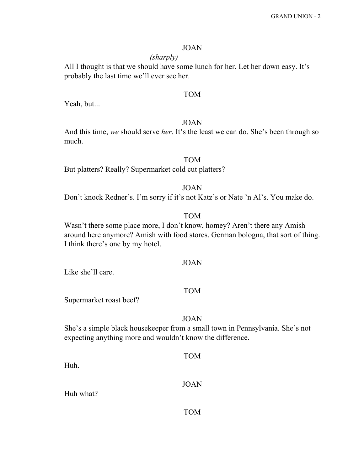# JOAN

# *(sharply)*

All I thought is that we should have some lunch for her. Let her down easy. It's probably the last time we'll ever see her.

# TOM

Yeah, but...

# JOAN

And this time, *we* should serve *her*. It's the least we can do. She's been through so much.

# TOM

But platters? Really? Supermarket cold cut platters?

# JOAN

Don't knock Redner's. I'm sorry if it's not Katz's or Nate 'n Al's. You make do.

# TOM

Wasn't there some place more, I don't know, homey? Aren't there any Amish around here anymore? Amish with food stores. German bologna, that sort of thing. I think there's one by my hotel.

#### JOAN

Like she'll care.

Huh.

Huh what?

# TOM

Supermarket roast beef?

#### JOAN

She's a simple black housekeeper from a small town in Pennsylvania. She's not expecting anything more and wouldn't know the difference.

| <b>TOM</b>  |
|-------------|
| <b>JOAN</b> |
| <b>TOM</b>  |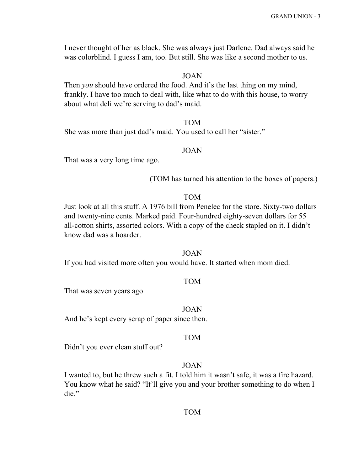I never thought of her as black. She was always just Darlene. Dad always said he was colorblind. I guess I am, too. But still. She was like a second mother to us.

# JOAN

Then *you* should have ordered the food. And it's the last thing on my mind, frankly. I have too much to deal with, like what to do with this house, to worry about what deli we're serving to dad's maid.

#### TOM

She was more than just dad's maid. You used to call her "sister."

# JOAN

That was a very long time ago.

(TOM has turned his attention to the boxes of papers.)

#### TOM

Just look at all this stuff. A 1976 bill from Penelec for the store. Sixty-two dollars and twenty-nine cents. Marked paid. Four-hundred eighty-seven dollars for 55 all-cotton shirts, assorted colors. With a copy of the check stapled on it. I didn't know dad was a hoarder.

#### JOAN

If you had visited more often you would have. It started when mom died.

#### TOM

That was seven years ago.

#### JOAN

And he's kept every scrap of paper since then.

#### TOM

Didn't you ever clean stuff out?

# JOAN

I wanted to, but he threw such a fit. I told him it wasn't safe, it was a fire hazard. You know what he said? "It'll give you and your brother something to do when I die."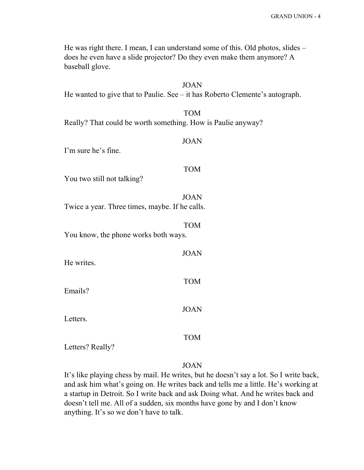He was right there. I mean, I can understand some of this. Old photos, slides – does he even have a slide projector? Do they even make them anymore? A baseball glove.

| <b>JOAN</b><br>He wanted to give that to Paulie. See $-$ it has Roberto Clemente's autograph. |
|-----------------------------------------------------------------------------------------------|
| <b>TOM</b><br>Really? That could be worth something. How is Paulie anyway?                    |
| <b>JOAN</b><br>I'm sure he's fine.                                                            |
| <b>TOM</b><br>You two still not talking?                                                      |
| <b>JOAN</b><br>Twice a year. Three times, maybe. If he calls.                                 |
| <b>TOM</b><br>You know, the phone works both ways.                                            |
| <b>JOAN</b><br>He writes.                                                                     |
| <b>TOM</b><br>Emails?                                                                         |
| <b>JOAN</b><br>Letters.                                                                       |
| <b>TOM</b><br>Letters? Really?                                                                |
|                                                                                               |

# JOAN

It's like playing chess by mail. He writes, but he doesn't say a lot. So I write back, and ask him what's going on. He writes back and tells me a little. He's working at a startup in Detroit. So I write back and ask Doing what. And he writes back and doesn't tell me. All of a sudden, six months have gone by and I don't know anything. It's so we don't have to talk.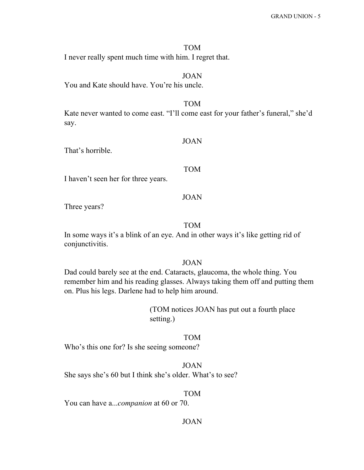TOM I never really spent much time with him. I regret that.

JOAN

You and Kate should have. You're his uncle.

Kate never wanted to come east. "I'll come east for your father's funeral," she'd say.

TOM

That's horrible.

#### TOM

JOAN

I haven't seen her for three years.

# JOAN

Three years?

TOM

In some ways it's a blink of an eye. And in other ways it's like getting rid of conjunctivitis.

# JOAN

Dad could barely see at the end. Cataracts, glaucoma, the whole thing. You remember him and his reading glasses. Always taking them off and putting them on. Plus his legs. Darlene had to help him around.

> (TOM notices JOAN has put out a fourth place setting.)

# TOM

Who's this one for? Is she seeing someone?

# JOAN

She says she's 60 but I think she's older. What's to see?

#### TOM

You can have a...*companion* at 60 or 70.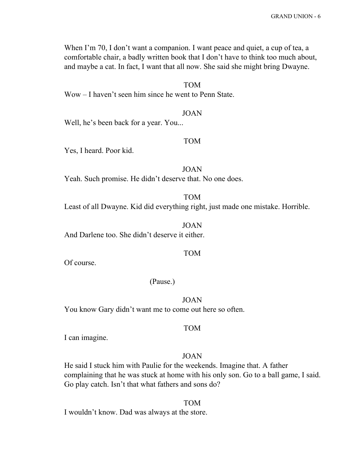When I'm 70, I don't want a companion. I want peace and quiet, a cup of tea, a comfortable chair, a badly written book that I don't have to think too much about, and maybe a cat. In fact, I want that all now. She said she might bring Dwayne.

TOM

Wow – I haven't seen him since he went to Penn State.

JOAN

Well, he's been back for a year. You...

#### TOM

Yes, I heard. Poor kid.

JOAN Yeah. Such promise. He didn't deserve that. No one does.

Least of all Dwayne. Kid did everything right, just made one mistake. Horrible.

TOM

JOAN And Darlene too. She didn't deserve it either.

#### TOM

Of course.

#### (Pause.)

JOAN You know Gary didn't want me to come out here so often.

#### TOM

I can imagine.

# JOAN

He said I stuck him with Paulie for the weekends. Imagine that. A father complaining that he was stuck at home with his only son. Go to a ball game, I said. Go play catch. Isn't that what fathers and sons do?

TOM I wouldn't know. Dad was always at the store.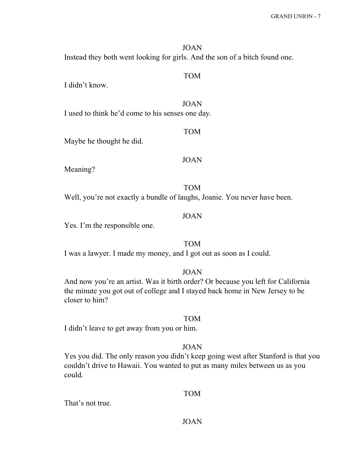JOAN Instead they both went looking for girls. And the son of a bitch found one.

I didn't know.

I used to think he'd come to his senses one day.

# TOM

TOM

JOAN

Maybe he thought he did.

#### JOAN

Meaning?

TOM Well, you're not exactly a bundle of laughs, Joanie. You never have been.

# JOAN

Yes. I'm the responsible one.

# TOM

I was a lawyer. I made my money, and I got out as soon as I could.

# JOAN

And now you're an artist. Was it birth order? Or because you left for California the minute you got out of college and I stayed back home in New Jersey to be closer to him?

#### TOM

I didn't leave to get away from you or him.

# JOAN

Yes you did. The only reason you didn't keep going west after Stanford is that you couldn't drive to Hawaii. You wanted to put as many miles between us as you could.

#### TOM

That's not true.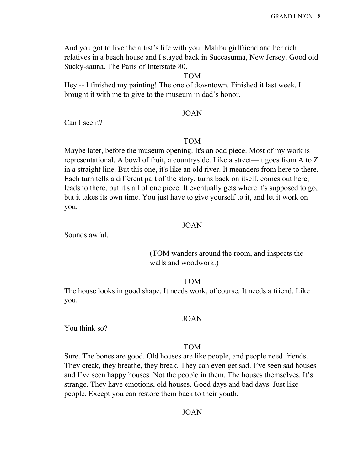And you got to live the artist's life with your Malibu girlfriend and her rich relatives in a beach house and I stayed back in Succasunna, New Jersey. Good old Sucky-sauna. The Paris of Interstate 80.

#### TOM

Hey -- I finished my painting! The one of downtown. Finished it last week. I brought it with me to give to the museum in dad's honor.

#### JOAN

Can I see it?

#### TOM

Maybe later, before the museum opening. It's an odd piece. Most of my work is representational. A bowl of fruit, a countryside. Like a street—it goes from A to Z in a straight line. But this one, it's like an old river. It meanders from here to there. Each turn tells a different part of the story, turns back on itself, comes out here, leads to there, but it's all of one piece. It eventually gets where it's supposed to go, but it takes its own time. You just have to give yourself to it, and let it work on you.

# JOAN

Sounds awful.

(TOM wanders around the room, and inspects the walls and woodwork.)

#### TOM

The house looks in good shape. It needs work, of course. It needs a friend. Like you.

#### JOAN

You think so?

# TOM

Sure. The bones are good. Old houses are like people, and people need friends. They creak, they breathe, they break. They can even get sad. I've seen sad houses and I've seen happy houses. Not the people in them. The houses themselves. It's strange. They have emotions, old houses. Good days and bad days. Just like people. Except you can restore them back to their youth.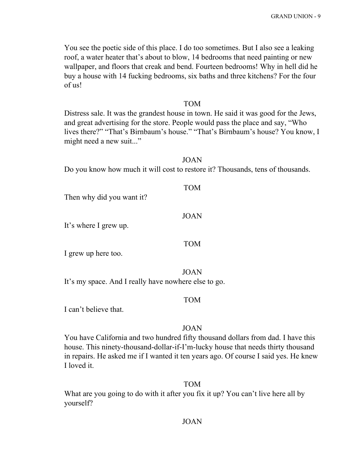You see the poetic side of this place. I do too sometimes. But I also see a leaking roof, a water heater that's about to blow, 14 bedrooms that need painting or new wallpaper, and floors that creak and bend. Fourteen bedrooms! Why in hell did he buy a house with 14 fucking bedrooms, six baths and three kitchens? For the four of us!

#### TOM

Distress sale. It was the grandest house in town. He said it was good for the Jews, and great advertising for the store. People would pass the place and say, "Who lives there?" "That's Birnbaum's house." "That's Birnbaum's house? You know, I might need a new suit..."

#### JOAN

TOM

Do you know how much it will cost to restore it? Thousands, tens of thousands.

# Then why did you want it?

# JOAN

It's where I grew up.

#### TOM

I grew up here too.

JOAN

It's my space. And I really have nowhere else to go.

#### TOM

I can't believe that.

#### JOAN

You have California and two hundred fifty thousand dollars from dad. I have this house. This ninety-thousand-dollar-if-I'm-lucky house that needs thirty thousand in repairs. He asked me if I wanted it ten years ago. Of course I said yes. He knew I loved it.

#### TOM

What are you going to do with it after you fix it up? You can't live here all by yourself?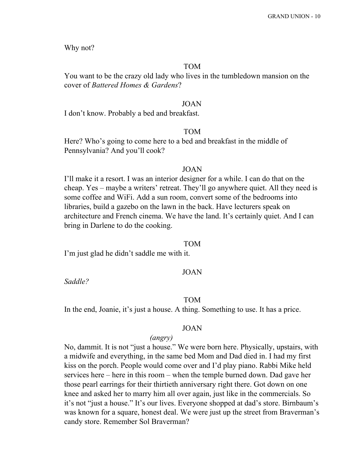Why not?

# TOM

You want to be the crazy old lady who lives in the tumbledown mansion on the cover of *Battered Homes & Gardens*?

#### JOAN

I don't know. Probably a bed and breakfast.

# TOM

Here? Who's going to come here to a bed and breakfast in the middle of Pennsylvania? And you'll cook?

#### JOAN

I'll make it a resort. I was an interior designer for a while. I can do that on the cheap. Yes – maybe a writers' retreat. They'll go anywhere quiet. All they need is some coffee and WiFi. Add a sun room, convert some of the bedrooms into libraries, build a gazebo on the lawn in the back. Have lecturers speak on architecture and French cinema. We have the land. It's certainly quiet. And I can bring in Darlene to do the cooking.

#### TOM

I'm just glad he didn't saddle me with it.

#### JOAN

*Saddle?*

#### TOM

In the end, Joanie, it's just a house. A thing. Something to use. It has a price.

#### JOAN

# *(angry)*

No, dammit. It is not "just a house." We were born here. Physically, upstairs, with a midwife and everything, in the same bed Mom and Dad died in. I had my first kiss on the porch. People would come over and I'd play piano. Rabbi Mike held services here – here in this room – when the temple burned down. Dad gave her those pearl earrings for their thirtieth anniversary right there. Got down on one knee and asked her to marry him all over again, just like in the commercials. So it's not "just a house." It's our lives. Everyone shopped at dad's store. Birnbaum's was known for a square, honest deal. We were just up the street from Braverman's candy store. Remember Sol Braverman?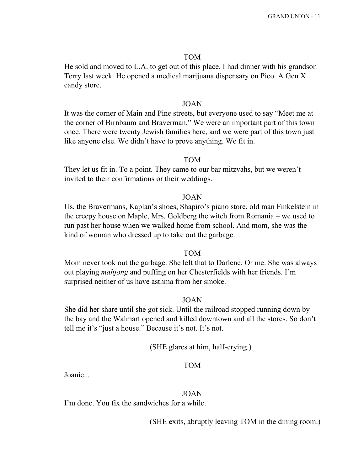#### TOM

He sold and moved to L.A. to get out of this place. I had dinner with his grandson Terry last week. He opened a medical marijuana dispensary on Pico. A Gen X candy store.

#### JOAN

It was the corner of Main and Pine streets, but everyone used to say "Meet me at the corner of Birnbaum and Braverman." We were an important part of this town once. There were twenty Jewish families here, and we were part of this town just like anyone else. We didn't have to prove anything. We fit in.

#### TOM

They let us fit in. To a point. They came to our bar mitzvahs, but we weren't invited to their confirmations or their weddings.

#### JOAN

Us, the Bravermans, Kaplan's shoes, Shapiro's piano store, old man Finkelstein in the creepy house on Maple, Mrs. Goldberg the witch from Romania – we used to run past her house when we walked home from school. And mom, she was the kind of woman who dressed up to take out the garbage.

#### TOM

Mom never took out the garbage. She left that to Darlene. Or me. She was always out playing *mahjong* and puffing on her Chesterfields with her friends. I'm surprised neither of us have asthma from her smoke.

# JOAN

She did her share until she got sick. Until the railroad stopped running down by the bay and the Walmart opened and killed downtown and all the stores. So don't tell me it's "just a house." Because it's not. It's not.

# (SHE glares at him, half-crying.)

# TOM

Joanie...

#### JOAN

I'm done. You fix the sandwiches for a while.

(SHE exits, abruptly leaving TOM in the dining room.)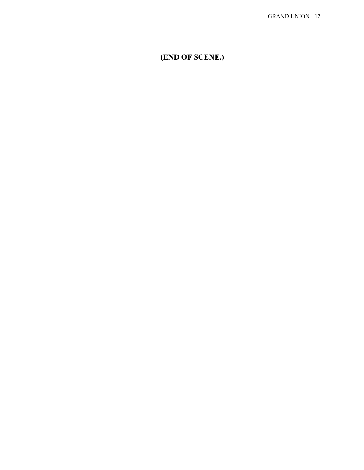**(END OF SCENE.)**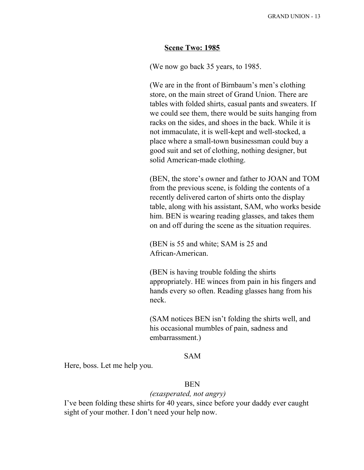#### **Scene Two: 1985**

(We now go back 35 years, to 1985.

(We are in the front of Birnbaum's men's clothing store, on the main street of Grand Union. There are tables with folded shirts, casual pants and sweaters. If we could see them, there would be suits hanging from racks on the sides, and shoes in the back. While it is not immaculate, it is well-kept and well-stocked, a place where a small-town businessman could buy a good suit and set of clothing, nothing designer, but solid American-made clothing.

(BEN, the store's owner and father to JOAN and TOM from the previous scene, is folding the contents of a recently delivered carton of shirts onto the display table, along with his assistant, SAM, who works beside him. BEN is wearing reading glasses, and takes them on and off during the scene as the situation requires.

(BEN is 55 and white; SAM is 25 and African-American.

(BEN is having trouble folding the shirts appropriately. HE winces from pain in his fingers and hands every so often. Reading glasses hang from his neck.

(SAM notices BEN isn't folding the shirts well, and his occasional mumbles of pain, sadness and embarrassment.)

#### SAM

Here, boss. Let me help you.

#### BEN

#### *(exasperated, not angry)*

I've been folding these shirts for 40 years, since before your daddy ever caught sight of your mother. I don't need your help now.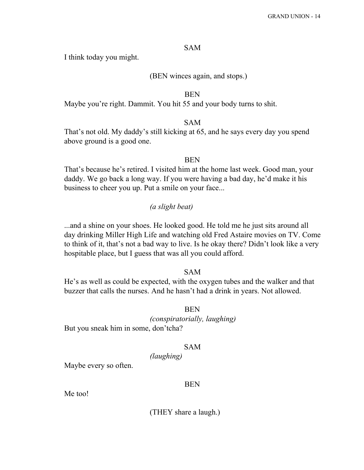# SAM

I think today you might.

# (BEN winces again, and stops.)

#### BEN

Maybe you're right. Dammit. You hit 55 and your body turns to shit.

# SAM

That's not old. My daddy's still kicking at 65, and he says every day you spend above ground is a good one.

# **BEN**

That's because he's retired. I visited him at the home last week. Good man, your daddy. We go back a long way. If you were having a bad day, he'd make it his business to cheer you up. Put a smile on your face...

# *(a slight beat)*

...and a shine on your shoes. He looked good. He told me he just sits around all day drinking Miller High Life and watching old Fred Astaire movies on TV. Come to think of it, that's not a bad way to live. Is he okay there? Didn't look like a very hospitable place, but I guess that was all you could afford.

# SAM

He's as well as could be expected, with the oxygen tubes and the walker and that buzzer that calls the nurses. And he hasn't had a drink in years. Not allowed.

#### BEN

*(conspiratorially, laughing)* But you sneak him in some, don'tcha?

# SAM

*(laughing)*

Maybe every so often.

#### BEN

Me too!

(THEY share a laugh.)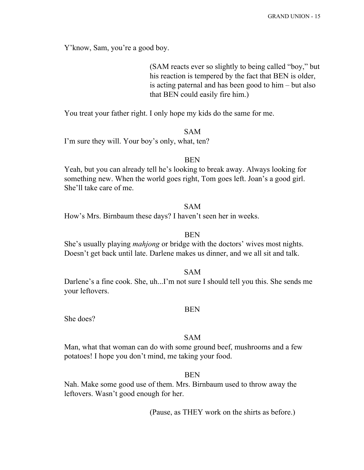Y'know, Sam, you're a good boy.

(SAM reacts ever so slightly to being called "boy," but his reaction is tempered by the fact that BEN is older, is acting paternal and has been good to him – but also that BEN could easily fire him.)

You treat your father right. I only hope my kids do the same for me.

#### SAM

I'm sure they will. Your boy's only, what, ten?

#### BEN

Yeah, but you can already tell he's looking to break away. Always looking for something new. When the world goes right, Tom goes left. Joan's a good girl. She'll take care of me.

# SAM

How's Mrs. Birnbaum these days? I haven't seen her in weeks.

# BEN

She's usually playing *mahjong* or bridge with the doctors' wives most nights. Doesn't get back until late. Darlene makes us dinner, and we all sit and talk.

SAM

Darlene's a fine cook. She, uh...I'm not sure I should tell you this. She sends me your leftovers.

#### BEN

She does?

# SAM

Man, what that woman can do with some ground beef, mushrooms and a few potatoes! I hope you don't mind, me taking your food.

#### **BEN**

Nah. Make some good use of them. Mrs. Birnbaum used to throw away the leftovers. Wasn't good enough for her.

(Pause, as THEY work on the shirts as before.)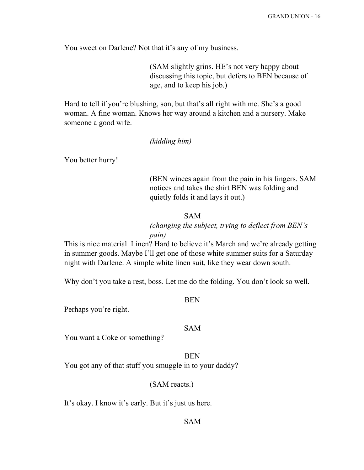You sweet on Darlene? Not that it's any of my business.

(SAM slightly grins. HE's not very happy about discussing this topic, but defers to BEN because of age, and to keep his job.)

Hard to tell if you're blushing, son, but that's all right with me. She's a good woman. A fine woman. Knows her way around a kitchen and a nursery. Make someone a good wife.

#### *(kidding him)*

You better hurry!

(BEN winces again from the pain in his fingers. SAM notices and takes the shirt BEN was folding and quietly folds it and lays it out.)

#### SAM

# *(changing the subject, trying to deflect from BEN's pain)*

This is nice material. Linen? Hard to believe it's March and we're already getting in summer goods. Maybe I'll get one of those white summer suits for a Saturday night with Darlene. A simple white linen suit, like they wear down south.

Why don't you take a rest, boss. Let me do the folding. You don't look so well.

BEN

Perhaps you're right.

#### SAM

You want a Coke or something?

# BEN

You got any of that stuff you smuggle in to your daddy?

#### (SAM reacts.)

It's okay. I know it's early. But it's just us here.

# SAM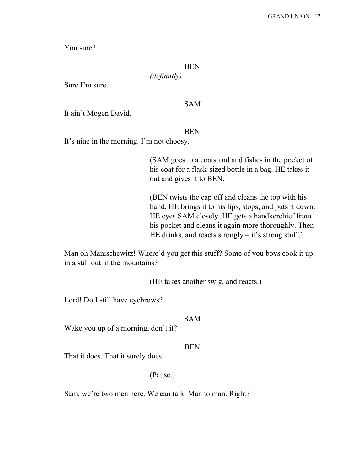You sure?

# BEN

*(defiantly)*

Sure I'm sure.

#### SAM

It ain't Mogen David.

#### BEN

It's nine in the morning. I'm not choosy.

(SAM goes to a coatstand and fishes in the pocket of his coat for a flask-sized bottle in a bag. HE takes it out and gives it to BEN.

(BEN twists the cap off and cleans the top with his hand. HE brings it to his lips, stops, and puts it down. HE eyes SAM closely. HE gets a handkerchief from his pocket and cleans it again more thoroughly. Then HE drinks, and reacts strongly  $-$  it's strong stuff,)

Man oh Manischewitz! Where'd you get this stuff? Some of you boys cook it up in a still out in the mountains?

(HE takes another swig, and reacts.)

Lord! Do I still have eyebrows?

#### SAM

Wake you up of a morning, don't it?

# BEN

That it does. That it surely does.

#### (Pause.)

Sam, we're two men here. We can talk. Man to man. Right?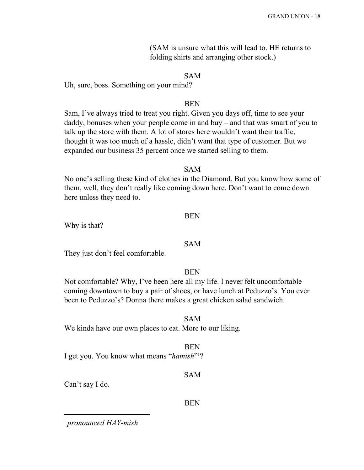(SAM is unsure what this will lead to. HE returns to folding shirts and arranging other stock.)

# SAM

Uh, sure, boss. Something on your mind?

#### BEN

Sam, I've always tried to treat you right. Given you days off, time to see your daddy, bonuses when your people come in and buy – and that was smart of you to talk up the store with them. A lot of stores here wouldn't want their traffic, thought it was too much of a hassle, didn't want that type of customer. But we expanded our business 35 percent once we started selling to them.

#### SAM

No one's selling these kind of clothes in the Diamond. But you know how some of them, well, they don't really like coming down here. Don't want to come down here unless they need to.

#### BEN

Why is that?

# SAM

They just don't feel comfortable.

#### **BEN**

Not comfortable? Why, I've been here all my life. I never felt uncomfortable coming downtown to buy a pair of shoes, or have lunch at Peduzzo's. You ever been to Peduzzo's? Donna there makes a great chicken salad sandwich.

#### SAM

We kinda have our own places to eat. More to our liking.

#### BEN

I get you. You know what means "*hamish*"?

#### SAM

Can't say I do.

### BEN

<sup>1</sup> *pronounced HAY-mish*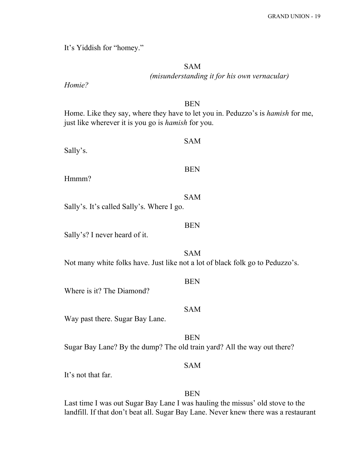It's Yiddish for "homey."

SAM *(misunderstanding it for his own vernacular)*

*Homie?*

# BEN

Home. Like they say, where they have to let you in. Peduzzo's is *hamish* for me, just like wherever it is you go is *hamish* for you.

| Sally's.                                                                      | <b>SAM</b> |
|-------------------------------------------------------------------------------|------------|
| Hmmm?                                                                         | <b>BEN</b> |
| Sally's. It's called Sally's. Where I go.                                     | <b>SAM</b> |
| Sally's? I never heard of it.                                                 | <b>BEN</b> |
| Not many white folks have. Just like not a lot of black folk go to Peduzzo's. | <b>SAM</b> |
| Where is it? The Diamond?                                                     | <b>BEN</b> |
| Way past there. Sugar Bay Lane.                                               | <b>SAM</b> |
| Sugar Bay Lane? By the dump? The old train yard? All the way out there?       | <b>BEN</b> |
| It's not that far.                                                            | <b>SAM</b> |
|                                                                               | <b>BEN</b> |

Last time I was out Sugar Bay Lane I was hauling the missus' old stove to the landfill. If that don't beat all. Sugar Bay Lane. Never knew there was a restaurant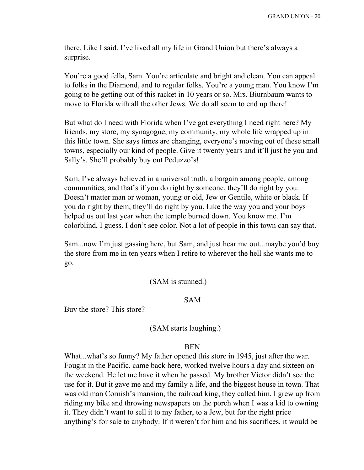there. Like I said, I've lived all my life in Grand Union but there's always a surprise.

You're a good fella, Sam. You're articulate and bright and clean. You can appeal to folks in the Diamond, and to regular folks. You're a young man. You know I'm going to be getting out of this racket in 10 years or so. Mrs. Biurnbaum wants to move to Florida with all the other Jews. We do all seem to end up there!

But what do I need with Florida when I've got everything I need right here? My friends, my store, my synagogue, my community, my whole life wrapped up in this little town. She says times are changing, everyone's moving out of these small towns, especially our kind of people. Give it twenty years and it'll just be you and Sally's. She'll probably buy out Peduzzo's!

Sam, I've always believed in a universal truth, a bargain among people, among communities, and that's if you do right by someone, they'll do right by you. Doesn't matter man or woman, young or old, Jew or Gentile, white or black. If you do right by them, they'll do right by you. Like the way you and your boys helped us out last year when the temple burned down. You know me. I'm colorblind, I guess. I don't see color. Not a lot of people in this town can say that.

Sam...now I'm just gassing here, but Sam, and just hear me out...maybe you'd buy the store from me in ten years when I retire to wherever the hell she wants me to go.

#### (SAM is stunned.)

# SAM

Buy the store? This store?

#### (SAM starts laughing.)

#### **BEN**

What...what's so funny? My father opened this store in 1945, just after the war. Fought in the Pacific, came back here, worked twelve hours a day and sixteen on the weekend. He let me have it when he passed. My brother Victor didn't see the use for it. But it gave me and my family a life, and the biggest house in town. That was old man Cornish's mansion, the railroad king, they called him. I grew up from riding my bike and throwing newspapers on the porch when I was a kid to owning it. They didn't want to sell it to my father, to a Jew, but for the right price anything's for sale to anybody. If it weren't for him and his sacrifices, it would be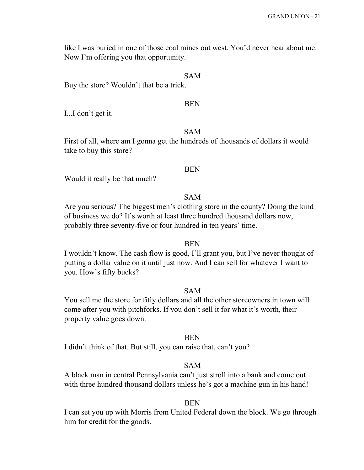like I was buried in one of those coal mines out west. You'd never hear about me. Now I'm offering you that opportunity.

# SAM

Buy the store? Wouldn't that be a trick.

#### BEN

I...I don't get it.

# SAM

First of all, where am I gonna get the hundreds of thousands of dollars it would take to buy this store?

#### BEN

Would it really be that much?

#### SAM

Are you serious? The biggest men's clothing store in the county? Doing the kind of business we do? It's worth at least three hundred thousand dollars now, probably three seventy-five or four hundred in ten years' time.

# BEN

I wouldn't know. The cash flow is good, I'll grant you, but I've never thought of putting a dollar value on it until just now. And I can sell for whatever I want to you. How's fifty bucks?

#### SAM

You sell me the store for fifty dollars and all the other storeowners in town will come after you with pitchforks. If you don't sell it for what it's worth, their property value goes down.

#### **BEN**

I didn't think of that. But still, you can raise that, can't you?

#### SAM

A black man in central Pennsylvania can't just stroll into a bank and come out with three hundred thousand dollars unless he's got a machine gun in his hand!

#### **BEN**

I can set you up with Morris from United Federal down the block. We go through him for credit for the goods.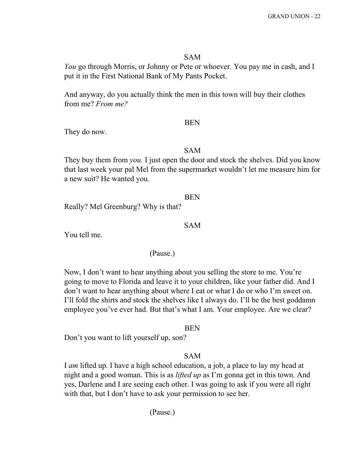#### SAM

*You* go through Morris, or Johnny or Pete or whoever. You pay me in cash, and I put it in the First National Bank of My Pants Pocket.

And anyway, do you actually think the men in this town will buy their clothes from me? *From me?*

#### BEN

They do now.

#### SAM

They buy them from *you.* I just open the door and stock the shelves. Did you know that last week your pal Mel from the supermarket wouldn't let me measure him for a new suit? He wanted you.

#### **BEN**

Really? Mel Greenburg? Why is that?

# SAM

You tell me.

#### (Pause.)

Now, I don't want to hear anything about you selling the store to me. You're going to move to Florida and leave it to your children, like your father did. And I don't want to hear anything about where I eat or what I do or who I'm sweet on. I'll fold the shirts and stock the shelves like I always do. I'll be the best goddamn employee you've ever had. But that's what I am. Your employee. Are we clear?

#### **BEN**

Don't you want to lift yourself up, son?

# SAM

I *am* lifted up. I have a high school education, a job, a place to lay my head at night and a good woman. This is as *lifted up* as I'm gonna get in this town. And yes, Darlene and I are seeing each other. I was going to ask if you were all right with that, but I don't have to ask your permission to see her.

(Pause.)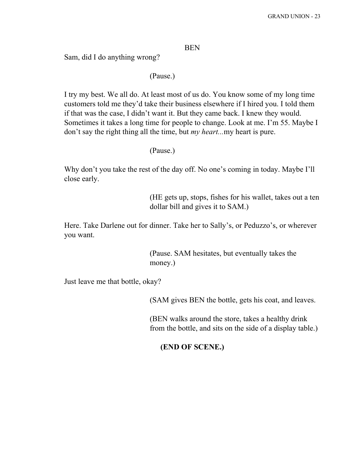# BEN

Sam, did I do anything wrong?

#### (Pause.)

I try my best. We all do. At least most of us do. You know some of my long time customers told me they'd take their business elsewhere if I hired you. I told them if that was the case, I didn't want it. But they came back. I knew they would. Sometimes it takes a long time for people to change. Look at me. I'm 55. Maybe I don't say the right thing all the time, but *my heart...*my heart is pure.

(Pause.)

Why don't you take the rest of the day off. No one's coming in today. Maybe I'll close early.

> (HE gets up, stops, fishes for his wallet, takes out a ten dollar bill and gives it to SAM.)

Here. Take Darlene out for dinner. Take her to Sally's, or Peduzzo's, or wherever you want.

> (Pause. SAM hesitates, but eventually takes the money.)

Just leave me that bottle, okay?

(SAM gives BEN the bottle, gets his coat, and leaves.

(BEN walks around the store, takes a healthy drink from the bottle, and sits on the side of a display table.)

**(END OF SCENE.)**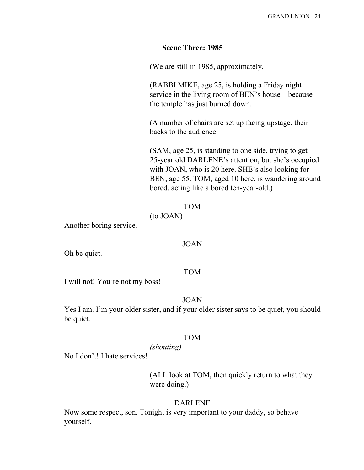# **Scene Three: 1985**

(We are still in 1985, approximately.

(RABBI MIKE, age 25, is holding a Friday night service in the living room of BEN's house – because the temple has just burned down.

(A number of chairs are set up facing upstage, their backs to the audience.

(SAM, age 25, is standing to one side, trying to get 25-year old DARLENE's attention, but she's occupied with JOAN, who is 20 here. SHE's also looking for BEN, age 55. TOM, aged 10 here, is wandering around bored, acting like a bored ten-year-old.)

#### TOM

# (to JOAN)

Another boring service.

#### JOAN

Oh be quiet.

#### TOM

I will not! You're not my boss!

### JOAN

Yes I am. I'm your older sister, and if your older sister says to be quiet, you should be quiet.

#### TOM

#### *(shouting)*

No I don't! I hate services!

(ALL look at TOM, then quickly return to what they were doing.)

#### DARLENE

Now some respect, son. Tonight is very important to your daddy, so behave yourself.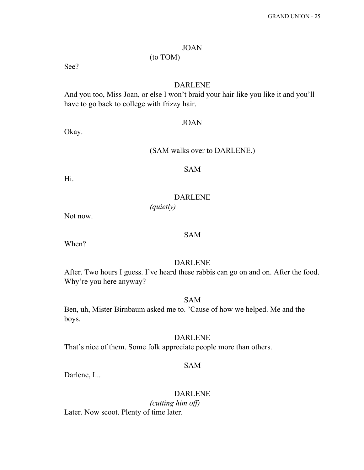# JOAN

# (to TOM)

See?

# DARLENE

And you too, Miss Joan, or else I won't braid your hair like you like it and you'll have to go back to college with frizzy hair.

#### JOAN

Okay.

# (SAM walks over to DARLENE.)

Hi.

# SAM

# DARLENE

*(quietly)*

Not now.

# SAM

When?

# DARLENE

After. Two hours I guess. I've heard these rabbis can go on and on. After the food. Why're you here anyway?

SAM

Ben, uh, Mister Birnbaum asked me to. 'Cause of how we helped. Me and the boys.

# DARLENE

That's nice of them. Some folk appreciate people more than others.

# SAM

Darlene, I...

# DARLENE

*(cutting him off)* Later. Now scoot. Plenty of time later.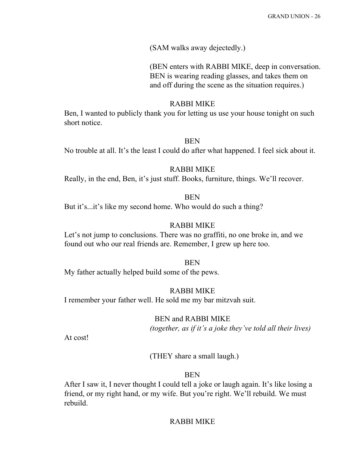# (SAM walks away dejectedly.)

(BEN enters with RABBI MIKE, deep in conversation. BEN is wearing reading glasses, and takes them on and off during the scene as the situation requires.)

# RABBI MIKE

Ben, I wanted to publicly thank you for letting us use your house tonight on such short notice.

# **BEN**

No trouble at all. It's the least I could do after what happened. I feel sick about it.

#### RABBI MIKE

Really, in the end, Ben, it's just stuff. Books, furniture, things. We'll recover.

# BEN

But it's...it's like my second home. Who would do such a thing?

# RABBI MIKE

Let's not jump to conclusions. There was no graffiti, no one broke in, and we found out who our real friends are. Remember, I grew up here too.

#### **BEN**

My father actually helped build some of the pews.

# RABBI MIKE

I remember your father well. He sold me my bar mitzvah suit.

#### BEN and RABBI MIKE

*(together, as if it's a joke they've told all their lives)*

At cost!

(THEY share a small laugh.)

# BEN

After I saw it, I never thought I could tell a joke or laugh again. It's like losing a friend, or my right hand, or my wife. But you're right. We'll rebuild. We must rebuild.

# RABBI MIKE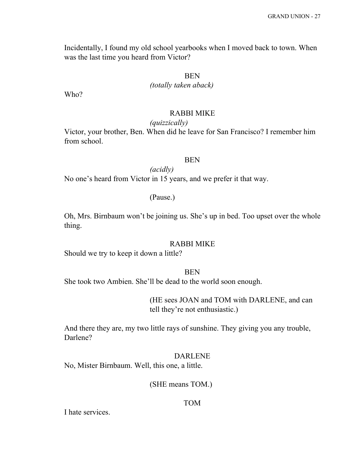Incidentally, I found my old school yearbooks when I moved back to town. When was the last time you heard from Victor?

# BEN

# *(totally taken aback)*

Who?

#### RABBI MIKE

#### *(quizzically)*

Victor, your brother, Ben. When did he leave for San Francisco? I remember him from school.

# **BEN**

*(acidly)* No one's heard from Victor in 15 years, and we prefer it that way.

# (Pause.)

Oh, Mrs. Birnbaum won't be joining us. She's up in bed. Too upset over the whole thing.

#### RABBI MIKE

Should we try to keep it down a little?

#### **BEN**

She took two Ambien. She'll be dead to the world soon enough.

(HE sees JOAN and TOM with DARLENE, and can tell they're not enthusiastic.)

And there they are, my two little rays of sunshine. They giving you any trouble, Darlene?

#### DARLENE

No, Mister Birnbaum. Well, this one, a little.

(SHE means TOM.)

### TOM

I hate services.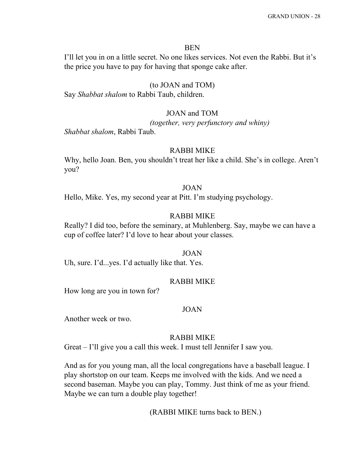#### BEN

I'll let you in on a little secret. No one likes services. Not even the Rabbi. But it's the price you have to pay for having that sponge cake after.

#### (to JOAN and TOM)

Say *Shabbat shalom* to Rabbi Taub, children.

#### JOAN and TOM

*(together, very perfunctory and whiny)*

*Shabbat shalom*, Rabbi Taub.

#### RABBI MIKE

Why, hello Joan. Ben, you shouldn't treat her like a child. She's in college. Aren't you?

#### JOAN

Hello, Mike. Yes, my second year at Pitt. I'm studying psychology.

# RABBI MIKE

Really? I did too, before the seminary, at Muhlenberg. Say, maybe we can have a cup of coffee later? I'd love to hear about your classes.

#### JOAN

Uh, sure. I'd...yes. I'd actually like that. Yes.

#### RABBI MIKE

How long are you in town for?

#### JOAN

Another week or two.

#### RABBI MIKE

Great – I'll give you a call this week. I must tell Jennifer I saw you.

And as for you young man, all the local congregations have a baseball league. I play shortstop on our team. Keeps me involved with the kids. And we need a second baseman. Maybe you can play, Tommy. Just think of me as your friend. Maybe we can turn a double play together!

(RABBI MIKE turns back to BEN.)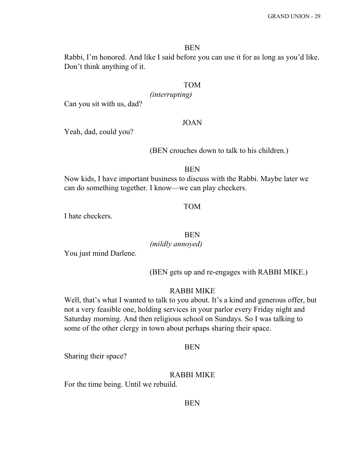#### BEN

Rabbi, I'm honored. And like I said before you can use it for as long as you'd like. Don't think anything of it.

#### TOM

*(interrupting)*

Can you sit with us, dad?

#### JOAN

Yeah, dad, could you?

(BEN crouches down to talk to his children.)

#### BEN

Now kids, I have important business to discuss with the Rabbi. Maybe later we can do something together. I know—we can play checkers.

#### TOM

I hate checkers.

# BEN

*(mildly annoyed)*

You just mind Darlene.

(BEN gets up and re-engages with RABBI MIKE.)

#### RABBI MIKE

Well, that's what I wanted to talk to you about. It's a kind and generous offer, but not a very feasible one, holding services in your parlor every Friday night and Saturday morning. And then religious school on Sundays. So I was talking to some of the other clergy in town about perhaps sharing their space.

#### BEN

Sharing their space?

#### RABBI MIKE

For the time being. Until we rebuild.

### **BEN**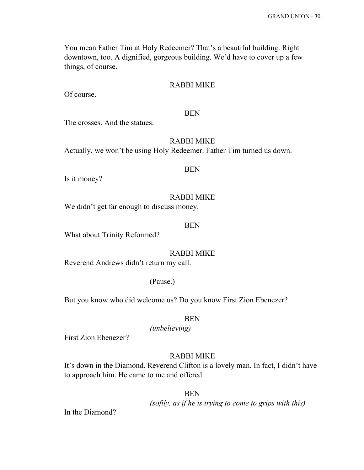You mean Father Tim at Holy Redeemer? That's a beautiful building. Right downtown, too. A dignified, gorgeous building. We'd have to cover up a few things, of course.

#### RABBI MIKE

Of course.

#### BEN

The crosses. And the statues.

# RABBI MIKE

Actually, we won't be using Holy Redeemer. Father Tim turned us down.

#### BEN

Is it money?

#### RABBI MIKE

We didn't get far enough to discuss money.

#### BEN

What about Trinity Reformed?

#### RABBI MIKE

Reverend Andrews didn't return my call.

#### (Pause.)

But you know who did welcome us? Do you know First Zion Ebenezer?

#### BEN

*(unbelieving)*

First Zion Ebenezer?

# RABBI MIKE

It's down in the Diamond. Reverend Clifton is a lovely man. In fact, I didn't have to approach him. He came to me and offered.

#### **BEN**

*(softly, as if he is trying to come to grips with this)*

In the Diamond?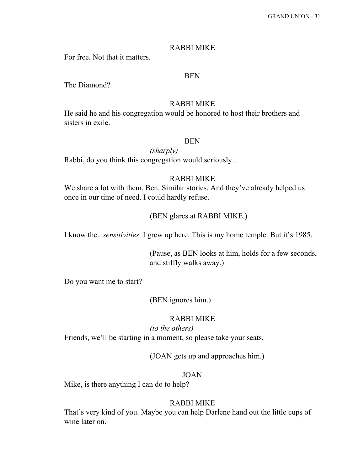#### RABBI MIKE

For free. Not that it matters.

#### BEN

The Diamond?

# RABBI MIKE

He said he and his congregation would be honored to host their brothers and sisters in exile.

# **BEN**

*(sharply)*

# Rabbi, do you think this congregation would seriously...

# RABBI MIKE

We share a lot with them, Ben. Similar stories. And they've already helped us once in our time of need. I could hardly refuse.

# (BEN glares at RABBI MIKE.)

I know the...*sensitivities*. I grew up here. This is my home temple. But it's 1985.

(Pause, as BEN looks at him, holds for a few seconds, and stiffly walks away.)

Do you want me to start?

(BEN ignores him.)

#### RABBI MIKE

*(to the others)*

Friends, we'll be starting in a moment, so please take your seats.

(JOAN gets up and approaches him.)

#### JOAN

Mike, is there anything I can do to help?

# RABBI MIKE

That's very kind of you. Maybe you can help Darlene hand out the little cups of wine later on.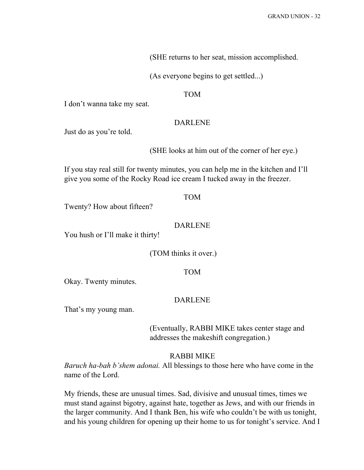(SHE returns to her seat, mission accomplished.

(As everyone begins to get settled...)

#### TOM

I don't wanna take my seat.

#### DARLENE

Just do as you're told.

(SHE looks at him out of the corner of her eye.)

If you stay real still for twenty minutes, you can help me in the kitchen and I'll give you some of the Rocky Road ice cream I tucked away in the freezer.

### TOM

Twenty? How about fifteen?

# DARLENE

You hush or I'll make it thirty!

(TOM thinks it over.)

# TOM

Okay. Twenty minutes.

#### DARLENE

That's my young man.

(Eventually, RABBI MIKE takes center stage and addresses the makeshift congregation.)

#### RABBI MIKE

*Baruch ha-bah b'shem adonai.* All blessings to those here who have come in the name of the Lord.

My friends, these are unusual times. Sad, divisive and unusual times, times we must stand against bigotry, against hate, together as Jews, and with our friends in the larger community. And I thank Ben, his wife who couldn't be with us tonight, and his young children for opening up their home to us for tonight's service. And I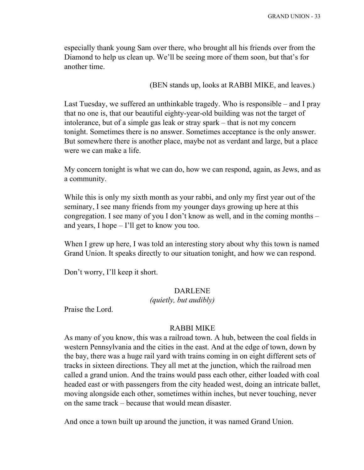especially thank young Sam over there, who brought all his friends over from the Diamond to help us clean up. We'll be seeing more of them soon, but that's for another time.

(BEN stands up, looks at RABBI MIKE, and leaves.)

Last Tuesday, we suffered an unthinkable tragedy. Who is responsible – and I pray that no one is, that our beautiful eighty-year-old building was not the target of intolerance, but of a simple gas leak or stray spark – that is not my concern tonight. Sometimes there is no answer. Sometimes acceptance is the only answer. But somewhere there is another place, maybe not as verdant and large, but a place were we can make a life.

My concern tonight is what we can do, how we can respond, again, as Jews, and as a community.

While this is only my sixth month as your rabbi, and only my first year out of the seminary, I see many friends from my younger days growing up here at this congregation. I see many of you I don't know as well, and in the coming months – and years, I hope – I'll get to know you too.

When I grew up here, I was told an interesting story about why this town is named Grand Union. It speaks directly to our situation tonight, and how we can respond.

Don't worry, I'll keep it short.

#### DARLENE

*(quietly, but audibly)*

Praise the Lord.

#### RABBI MIKE

As many of you know, this was a railroad town. A hub, between the coal fields in western Pennsylvania and the cities in the east. And at the edge of town, down by the bay, there was a huge rail yard with trains coming in on eight different sets of tracks in sixteen directions. They all met at the junction, which the railroad men called a grand union. And the trains would pass each other, either loaded with coal headed east or with passengers from the city headed west, doing an intricate ballet, moving alongside each other, sometimes within inches, but never touching, never on the same track – because that would mean disaster.

And once a town built up around the junction, it was named Grand Union.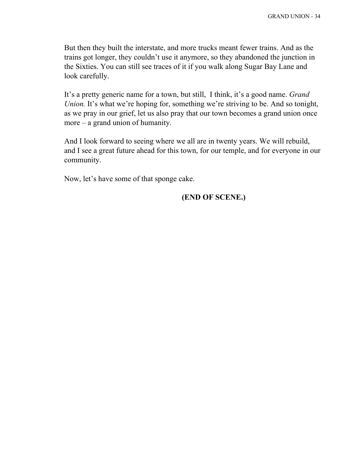But then they built the interstate, and more trucks meant fewer trains. And as the trains got longer, they couldn't use it anymore, so they abandoned the junction in the Sixties. You can still see traces of it if you walk along Sugar Bay Lane and look carefully.

It's a pretty generic name for a town, but still, I think, it's a good name. *Grand Union.* It's what we're hoping for, something we're striving to be. And so tonight, as we pray in our grief, let us also pray that our town becomes a grand union once more – a grand union of humanity.

And I look forward to seeing where we all are in twenty years. We will rebuild, and I see a great future ahead for this town, for our temple, and for everyone in our community.

Now, let's have some of that sponge cake.

# **(END OF SCENE.)**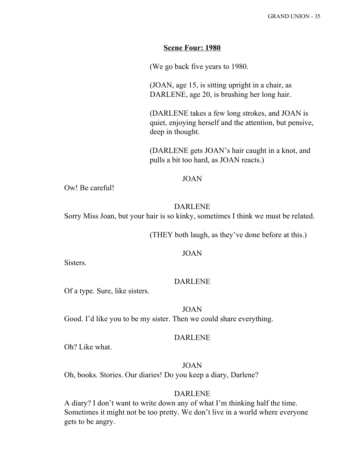## **Scene Four: 1980**

(We go back five years to 1980.

(JOAN, age 15, is sitting upright in a chair, as DARLENE, age 20, is brushing her long hair.

(DARLENE takes a few long strokes, and JOAN is quiet, enjoying herself and the attention, but pensive, deep in thought.

(DARLENE gets JOAN's hair caught in a knot, and pulls a bit too hard, as JOAN reacts.)

#### JOAN

Ow! Be careful!

# DARLENE

Sorry Miss Joan, but your hair is so kinky, sometimes I think we must be related.

(THEY both laugh, as they've done before at this.)

#### JOAN

Sisters.

# DARLENE

Of a type. Sure, like sisters.

#### JOAN

Good. I'd like you to be my sister. Then we could share everything.

#### DARLENE

Oh? Like what.

## JOAN

Oh, books. Stories. Our diaries! Do you keep a diary, Darlene?

#### DARLENE

A diary? I don't want to write down any of what I'm thinking half the time. Sometimes it might not be too pretty. We don't live in a world where everyone gets to be angry.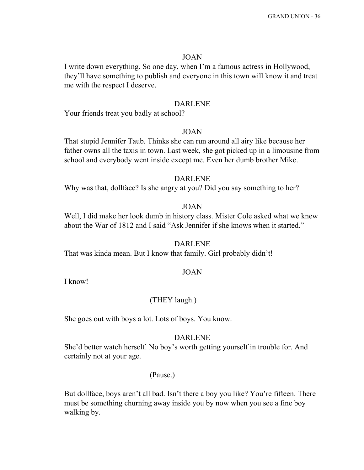# JOAN

I write down everything. So one day, when I'm a famous actress in Hollywood, they'll have something to publish and everyone in this town will know it and treat me with the respect I deserve.

#### DARLENE

Your friends treat you badly at school?

#### JOAN

That stupid Jennifer Taub. Thinks she can run around all airy like because her father owns all the taxis in town. Last week, she got picked up in a limousine from school and everybody went inside except me. Even her dumb brother Mike.

#### DARLENE

Why was that, dollface? Is she angry at you? Did you say something to her?

# JOAN

Well, I did make her look dumb in history class. Mister Cole asked what we knew about the War of 1812 and I said "Ask Jennifer if she knows when it started."

#### DARLENE

That was kinda mean. But I know that family. Girl probably didn't!

# JOAN

I know!

## (THEY laugh.)

She goes out with boys a lot. Lots of boys. You know.

# DARLENE

She'd better watch herself. No boy's worth getting yourself in trouble for. And certainly not at your age.

#### (Pause.)

But dollface, boys aren't all bad. Isn't there a boy you like? You're fifteen. There must be something churning away inside you by now when you see a fine boy walking by.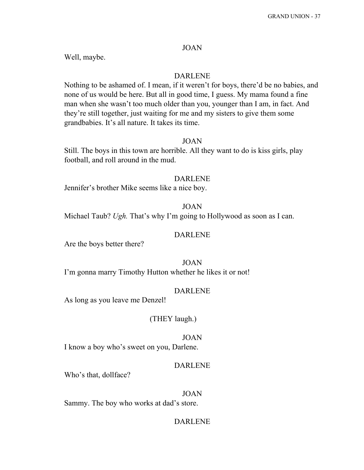# JOAN

Well, maybe.

## DARLENE

Nothing to be ashamed of. I mean, if it weren't for boys, there'd be no babies, and none of us would be here. But all in good time, I guess. My mama found a fine man when she wasn't too much older than you, younger than I am, in fact. And they're still together, just waiting for me and my sisters to give them some grandbabies. It's all nature. It takes its time.

#### JOAN

Still. The boys in this town are horrible. All they want to do is kiss girls, play football, and roll around in the mud.

#### DARLENE

Jennifer's brother Mike seems like a nice boy.

# JOAN

Michael Taub? *Ugh.* That's why I'm going to Hollywood as soon as I can.

#### DARLENE

Are the boys better there?

JOAN

I'm gonna marry Timothy Hutton whether he likes it or not!

#### DARLENE

As long as you leave me Denzel!

#### (THEY laugh.)

#### JOAN

I know a boy who's sweet on you, Darlene.

## DARLENE

Who's that, dollface?

#### JOAN

Sammy. The boy who works at dad's store.

# DARLENE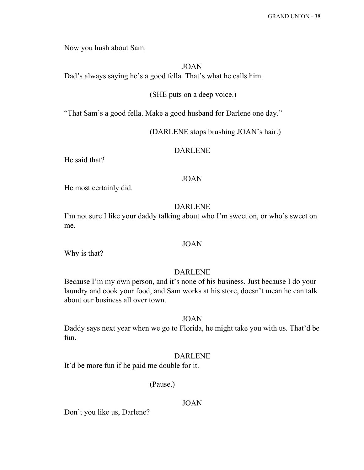Now you hush about Sam.

JOAN

Dad's always saying he's a good fella. That's what he calls him.

# (SHE puts on a deep voice.)

"That Sam's a good fella. Make a good husband for Darlene one day."

(DARLENE stops brushing JOAN's hair.)

# DARLENE

He said that?

#### JOAN

He most certainly did.

# DARLENE

I'm not sure I like your daddy talking about who I'm sweet on, or who's sweet on me.

#### JOAN

Why is that?

# DARLENE

Because I'm my own person, and it's none of his business. Just because I do your laundry and cook your food, and Sam works at his store, doesn't mean he can talk about our business all over town.

# JOAN

Daddy says next year when we go to Florida, he might take you with us. That'd be fun.

#### DARLENE

It'd be more fun if he paid me double for it.

(Pause.)

## JOAN

Don't you like us, Darlene?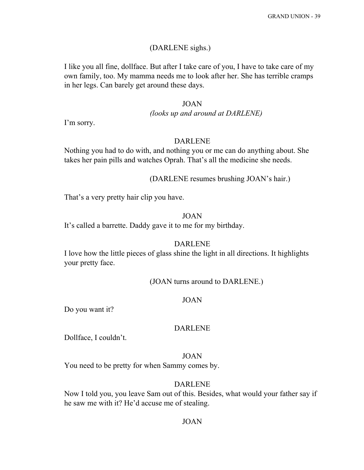# (DARLENE sighs.)

I like you all fine, dollface. But after I take care of you, I have to take care of my own family, too. My mamma needs me to look after her. She has terrible cramps in her legs. Can barely get around these days.

# JOAN

#### *(looks up and around at DARLENE)*

I'm sorry.

#### DARLENE

Nothing you had to do with, and nothing you or me can do anything about. She takes her pain pills and watches Oprah. That's all the medicine she needs.

#### (DARLENE resumes brushing JOAN's hair.)

That's a very pretty hair clip you have.

# JOAN

It's called a barrette. Daddy gave it to me for my birthday.

#### DARLENE

I love how the little pieces of glass shine the light in all directions. It highlights your pretty face.

(JOAN turns around to DARLENE.)

## JOAN

Do you want it?

#### DARLENE

Dollface, I couldn't.

# JOAN

You need to be pretty for when Sammy comes by.

# DARLENE

Now I told you, you leave Sam out of this. Besides, what would your father say if he saw me with it? He'd accuse me of stealing.

#### JOAN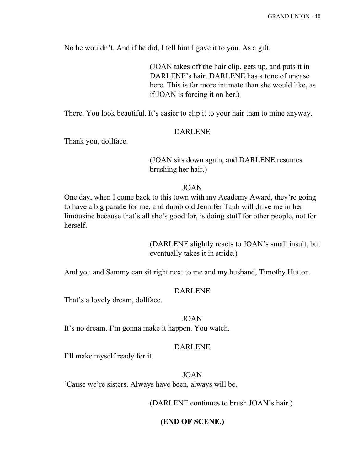No he wouldn't. And if he did, I tell him I gave it to you. As a gift.

(JOAN takes off the hair clip, gets up, and puts it in DARLENE's hair. DARLENE has a tone of unease here. This is far more intimate than she would like, as if JOAN is forcing it on her.)

There. You look beautiful. It's easier to clip it to your hair than to mine anyway.

#### DARLENE

Thank you, dollface.

# (JOAN sits down again, and DARLENE resumes brushing her hair.)

#### JOAN

One day, when I come back to this town with my Academy Award, they're going to have a big parade for me, and dumb old Jennifer Taub will drive me in her limousine because that's all she's good for, is doing stuff for other people, not for herself.

> (DARLENE slightly reacts to JOAN's small insult, but eventually takes it in stride.)

And you and Sammy can sit right next to me and my husband, Timothy Hutton.

#### DARLENE

That's a lovely dream, dollface.

#### JOAN

It's no dream. I'm gonna make it happen. You watch.

#### DARLENE

I'll make myself ready for it.

JOAN 'Cause we're sisters. Always have been, always will be.

(DARLENE continues to brush JOAN's hair.)

#### **(END OF SCENE.)**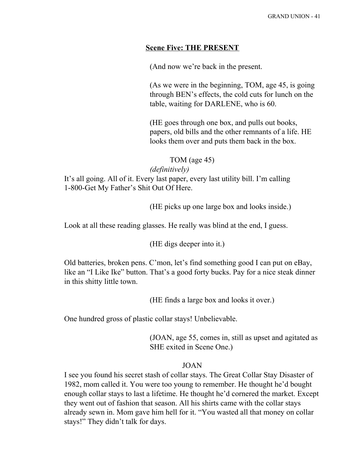# **Scene Five: THE PRESENT**

(And now we're back in the present.

(As we were in the beginning, TOM, age 45, is going through BEN's effects, the cold cuts for lunch on the table, waiting for DARLENE, who is 60.

(HE goes through one box, and pulls out books, papers, old bills and the other remnants of a life. HE looks them over and puts them back in the box.

TOM (age 45)

*(definitively)*

It's all going. All of it. Every last paper, every last utility bill. I'm calling 1-800-Get My Father's Shit Out Of Here.

(HE picks up one large box and looks inside.)

Look at all these reading glasses. He really was blind at the end, I guess.

(HE digs deeper into it.)

Old batteries, broken pens. C'mon, let's find something good I can put on eBay, like an "I Like Ike" button. That's a good forty bucks. Pay for a nice steak dinner in this shitty little town.

(HE finds a large box and looks it over.)

One hundred gross of plastic collar stays! Unbelievable.

(JOAN, age 55, comes in, still as upset and agitated as SHE exited in Scene One.)

## JOAN

I see you found his secret stash of collar stays. The Great Collar Stay Disaster of 1982, mom called it. You were too young to remember. He thought he'd bought enough collar stays to last a lifetime. He thought he'd cornered the market. Except they went out of fashion that season. All his shirts came with the collar stays already sewn in. Mom gave him hell for it. "You wasted all that money on collar stays!" They didn't talk for days.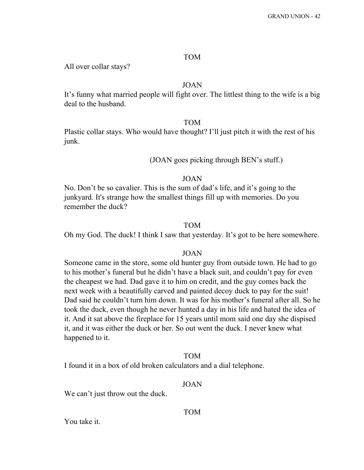#### TOM

All over collar stays?

# JOAN

It's funny what married people will fight over. The littlest thing to the wife is a big deal to the husband.

#### TOM

Plastic collar stays. Who would have thought? I'll just pitch it with the rest of his junk.

# (JOAN goes picking through BEN's stuff.)

#### JOAN

No. Don't be so cavalier. This is the sum of dad's life, and it's going to the junkyard. It's strange how the smallest things fill up with memories. Do you remember the duck?

#### TOM

Oh my God. The duck! I think I saw that yesterday. It's got to be here somewhere.

#### JOAN

Someone came in the store, some old hunter guy from outside town. He had to go to his mother's funeral but he didn't have a black suit, and couldn't pay for even the cheapest we had. Dad gave it to him on credit, and the guy comes back the next week with a beautifully carved and painted decoy duck to pay for the suit! Dad said he couldn't turn him down. It was for his mother's funeral after all. So he took the duck, even though he never hunted a day in his life and hated the idea of it. And it sat above the fireplace for 15 years until mom said one day she dispised it, and it was either the duck or her. So out went the duck. I never knew what happened to it.

# TOM

I found it in a box of old broken calculators and a dial telephone.

#### JOAN

We can't just throw out the duck.

You take it.

#### TOM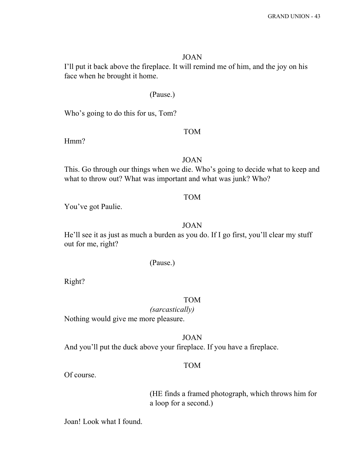#### JOAN

I'll put it back above the fireplace. It will remind me of him, and the joy on his face when he brought it home.

#### (Pause.)

Who's going to do this for us, Tom?

#### TOM

Hmm?

# JOAN

This. Go through our things when we die. Who's going to decide what to keep and what to throw out? What was important and what was junk? Who?

# TOM

You've got Paulie.

# JOAN

He'll see it as just as much a burden as you do. If I go first, you'll clear my stuff out for me, right?

# (Pause.)

Right?

## TOM

*(sarcastically)* Nothing would give me more pleasure.

JOAN

And you'll put the duck above your fireplace. If you have a fireplace.

# TOM

Of course.

(HE finds a framed photograph, which throws him for a loop for a second.)

Joan! Look what I found.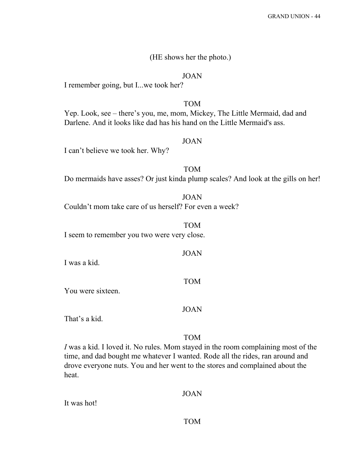#### (HE shows her the photo.)

#### JOAN

I remember going, but I...we took her?

#### TOM

Yep. Look, see – there's you, me, mom, Mickey, The Little Mermaid, dad and Darlene. And it looks like dad has his hand on the Little Mermaid's ass.

# JOAN

I can't believe we took her. Why?

TOM Do mermaids have asses? Or just kinda plump scales? And look at the gills on her!

JOAN Couldn't mom take care of us herself? For even a week?

TOM I seem to remember you two were very close.

I was a kid.

You were sixteen.

#### JOAN

JOAN

TOM

That's a kid.

# TOM

*I* was a kid. I loved it. No rules. Mom stayed in the room complaining most of the time, and dad bought me whatever I wanted. Rode all the rides, ran around and drove everyone nuts. You and her went to the stores and complained about the heat.

#### JOAN

It was hot!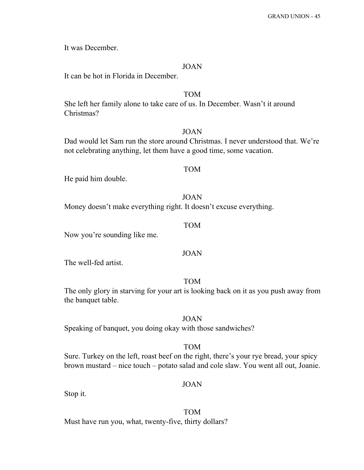It was December.

#### JOAN

It can be hot in Florida in December.

# TOM

She left her family alone to take care of us. In December. Wasn't it around Christmas?

#### JOAN

Dad would let Sam run the store around Christmas. I never understood that. We're not celebrating anything, let them have a good time, some vacation.

#### TOM

He paid him double.

#### JOAN

Money doesn't make everything right. It doesn't excuse everything.

# TOM

Now you're sounding like me.

#### JOAN

The well-fed artist.

# TOM

The only glory in starving for your art is looking back on it as you push away from the banquet table.

#### JOAN

Speaking of banquet, you doing okay with those sandwiches?

#### TOM

Sure. Turkey on the left, roast beef on the right, there's your rye bread, your spicy brown mustard – nice touch – potato salad and cole slaw. You went all out, Joanie.

#### JOAN

Stop it.

# TOM

Must have run you, what, twenty-five, thirty dollars?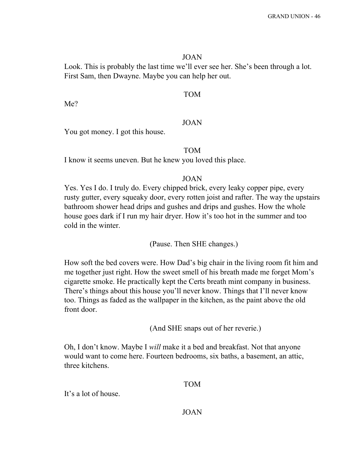#### JOAN

Look. This is probably the last time we'll ever see her. She's been through a lot. First Sam, then Dwayne. Maybe you can help her out.

# TOM

Me?

# JOAN

You got money. I got this house.

# TOM

I know it seems uneven. But he knew you loved this place.

# JOAN

Yes. Yes I do. I truly do. Every chipped brick, every leaky copper pipe, every rusty gutter, every squeaky door, every rotten joist and rafter. The way the upstairs bathroom shower head drips and gushes and drips and gushes. How the whole house goes dark if I run my hair dryer. How it's too hot in the summer and too cold in the winter.

(Pause. Then SHE changes.)

How soft the bed covers were. How Dad's big chair in the living room fit him and me together just right. How the sweet smell of his breath made me forget Mom's cigarette smoke. He practically kept the Certs breath mint company in business. There's things about this house you'll never know. Things that I'll never know too. Things as faded as the wallpaper in the kitchen, as the paint above the old front door.

(And SHE snaps out of her reverie.)

Oh, I don't know. Maybe I *will* make it a bed and breakfast. Not that anyone would want to come here. Fourteen bedrooms, six baths, a basement, an attic, three kitchens.

# TOM

It's a lot of house.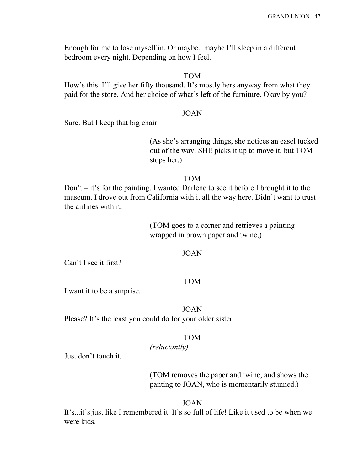Enough for me to lose myself in. Or maybe...maybe I'll sleep in a different bedroom every night. Depending on how I feel.

## TOM

How's this. I'll give her fifty thousand. It's mostly hers anyway from what they paid for the store. And her choice of what's left of the furniture. Okay by you?

#### JOAN

Sure. But I keep that big chair.

(As she's arranging things, she notices an easel tucked out of the way. SHE picks it up to move it, but TOM stops her.)

#### TOM

Don't – it's for the painting. I wanted Darlene to see it before I brought it to the museum. I drove out from California with it all the way here. Didn't want to trust the airlines with it.

> (TOM goes to a corner and retrieves a painting wrapped in brown paper and twine,)

#### JOAN

Can't I see it first?

# TOM

I want it to be a surprise.

JOAN Please? It's the least you could do for your older sister.

#### TOM

*(reluctantly)*

Just don't touch it.

(TOM removes the paper and twine, and shows the panting to JOAN, who is momentarily stunned.)

#### JOAN

It's...it's just like I remembered it. It's so full of life! Like it used to be when we were kids.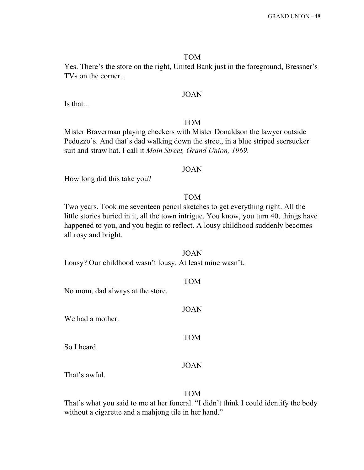#### TOM

Yes. There's the store on the right, United Bank just in the foreground, Bressner's TVs on the corner...

# JOAN

Is that...

# TOM

Mister Braverman playing checkers with Mister Donaldson the lawyer outside Peduzzo's. And that's dad walking down the street, in a blue striped seersucker suit and straw hat. I call it *Main Street, Grand Union, 1969*.

#### JOAN

How long did this take you?

#### TOM

Two years. Took me seventeen pencil sketches to get everything right. All the little stories buried in it, all the town intrigue. You know, you turn 40, things have happened to you, and you begin to reflect. A lousy childhood suddenly becomes all rosy and bright.

#### JOAN

Lousy? Our childhood wasn't lousy. At least mine wasn't.

TOM

JOAN

TOM

No mom, dad always at the store.

We had a mother.

So I heard.

# JOAN

That's awful.

# TOM

That's what you said to me at her funeral. "I didn't think I could identify the body without a cigarette and a mahjong tile in her hand."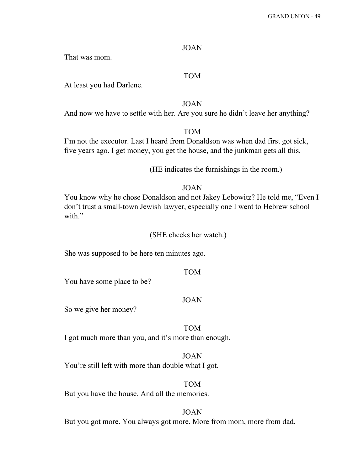# JOAN

That was mom.

# TOM

At least you had Darlene.

JOAN

And now we have to settle with her. Are you sure he didn't leave her anything?

TOM

I'm not the executor. Last I heard from Donaldson was when dad first got sick, five years ago. I get money, you get the house, and the junkman gets all this.

(HE indicates the furnishings in the room.)

# JOAN

You know why he chose Donaldson and not Jakey Lebowitz? He told me, "Even I don't trust a small-town Jewish lawyer, especially one I went to Hebrew school with."

(SHE checks her watch.)

She was supposed to be here ten minutes ago.

TOM

You have some place to be?

#### JOAN

So we give her money?

#### TOM

I got much more than you, and it's more than enough.

# JOAN

You're still left with more than double what I got.

TOM But you have the house. And all the memories.

JOAN But you got more. You always got more. More from mom, more from dad.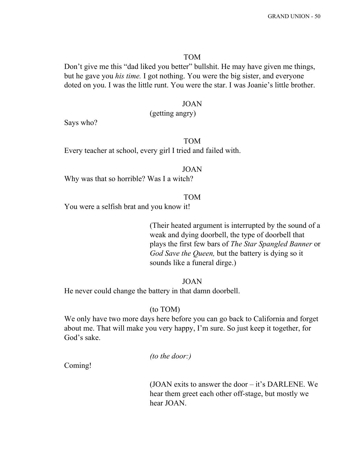#### TOM

Don't give me this "dad liked you better" bullshit. He may have given me things, but he gave you *his time.* I got nothing. You were the big sister, and everyone doted on you. I was the little runt. You were the star. I was Joanie's little brother.

#### JOAN

(getting angry)

Says who?

# TOM

Every teacher at school, every girl I tried and failed with.

#### JOAN

Why was that so horrible? Was I a witch?

TOM

You were a selfish brat and you know it!

(Their heated argument is interrupted by the sound of a weak and dying doorbell, the type of doorbell that plays the first few bars of *The Star Spangled Banner* or *God Save the Queen,* but the battery is dying so it sounds like a funeral dirge.)

JOAN

He never could change the battery in that damn doorbell.

#### (to TOM)

We only have two more days here before you can go back to California and forget about me. That will make you very happy, I'm sure. So just keep it together, for God's sake.

*(to the door:)*

Coming!

(JOAN exits to answer the door – it's DARLENE. We hear them greet each other off-stage, but mostly we hear JOAN.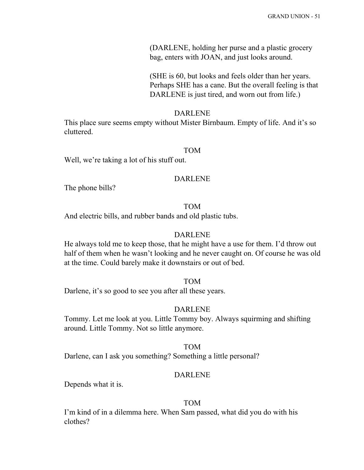(DARLENE, holding her purse and a plastic grocery bag, enters with JOAN, and just looks around.

(SHE is 60, but looks and feels older than her years. Perhaps SHE has a cane. But the overall feeling is that DARLENE is just tired, and worn out from life.)

#### DARLENE

This place sure seems empty without Mister Birnbaum. Empty of life. And it's so cluttered.

#### TOM

Well, we're taking a lot of his stuff out.

#### DARLENE

The phone bills?

# TOM

And electric bills, and rubber bands and old plastic tubs.

#### DARLENE

He always told me to keep those, that he might have a use for them. I'd throw out half of them when he wasn't looking and he never caught on. Of course he was old at the time. Could barely make it downstairs or out of bed.

#### TOM

Darlene, it's so good to see you after all these years.

#### DARLENE

Tommy. Let me look at you. Little Tommy boy. Always squirming and shifting around. Little Tommy. Not so little anymore.

# TOM

Darlene, can I ask you something? Something a little personal?

#### DARLENE

Depends what it is.

#### TOM

I'm kind of in a dilemma here. When Sam passed, what did you do with his clothes?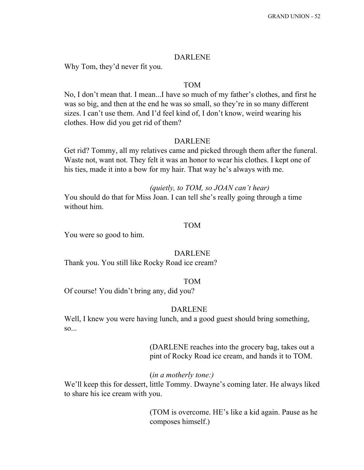#### DARLENE

Why Tom, they'd never fit you.

# TOM

No, I don't mean that. I mean...I have so much of my father's clothes, and first he was so big, and then at the end he was so small, so they're in so many different sizes. I can't use them. And I'd feel kind of, I don't know, weird wearing his clothes. How did you get rid of them?

#### DARLENE

Get rid? Tommy, all my relatives came and picked through them after the funeral. Waste not, want not. They felt it was an honor to wear his clothes. I kept one of his ties, made it into a bow for my hair. That way he's always with me.

#### *(quietly, to TOM, so JOAN can't hear)*

You should do that for Miss Joan. I can tell she's really going through a time without him.

#### TOM

You were so good to him.

#### DARLENE

Thank you. You still like Rocky Road ice cream?

#### TOM

Of course! You didn't bring any, did you?

#### DARLENE

Well, I knew you were having lunch, and a good guest should bring something, so...

> (DARLENE reaches into the grocery bag, takes out a pint of Rocky Road ice cream, and hands it to TOM.

#### (*in a motherly tone:)*

We'll keep this for dessert, little Tommy. Dwayne's coming later. He always liked to share his ice cream with you.

> (TOM is overcome. HE's like a kid again. Pause as he composes himself.)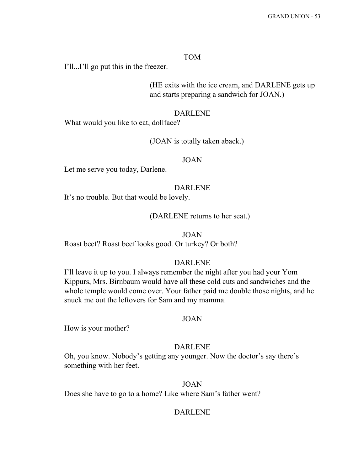#### TOM

I'll...I'll go put this in the freezer.

(HE exits with the ice cream, and DARLENE gets up and starts preparing a sandwich for JOAN.)

#### DARLENE

What would you like to eat, dollface?

### (JOAN is totally taken aback.)

#### JOAN

Let me serve you today, Darlene.

# DARLENE

It's no trouble. But that would be lovely.

# (DARLENE returns to her seat.)

#### JOAN

Roast beef? Roast beef looks good. Or turkey? Or both?

## DARLENE

I'll leave it up to you. I always remember the night after you had your Yom Kippurs, Mrs. Birnbaum would have all these cold cuts and sandwiches and the whole temple would come over. Your father paid me double those nights, and he snuck me out the leftovers for Sam and my mamma.

#### JOAN

How is your mother?

# DARLENE

Oh, you know. Nobody's getting any younger. Now the doctor's say there's something with her feet.

#### JOAN

Does she have to go to a home? Like where Sam's father went?

#### DARLENE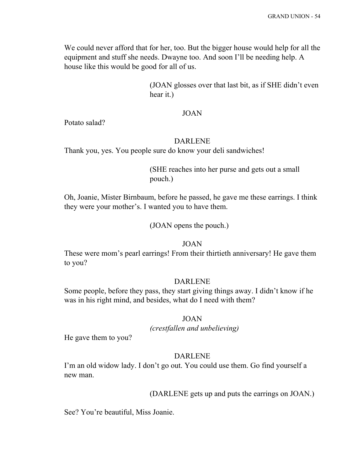We could never afford that for her, too. But the bigger house would help for all the equipment and stuff she needs. Dwayne too. And soon I'll be needing help. A house like this would be good for all of us.

> (JOAN glosses over that last bit, as if SHE didn't even hear it.)

#### JOAN

Potato salad?

#### DARLENE

Thank you, yes. You people sure do know your deli sandwiches!

(SHE reaches into her purse and gets out a small pouch.)

Oh, Joanie, Mister Birnbaum, before he passed, he gave me these earrings. I think they were your mother's. I wanted you to have them.

(JOAN opens the pouch.)

# JOAN

These were mom's pearl earrings! From their thirtieth anniversary! He gave them to you?

# DARLENE

Some people, before they pass, they start giving things away. I didn't know if he was in his right mind, and besides, what do I need with them?

# JOAN

*(crestfallen and unbelieving)*

He gave them to you?

#### DARLENE

I'm an old widow lady. I don't go out. You could use them. Go find yourself a new man.

# (DARLENE gets up and puts the earrings on JOAN.)

See? You're beautiful, Miss Joanie.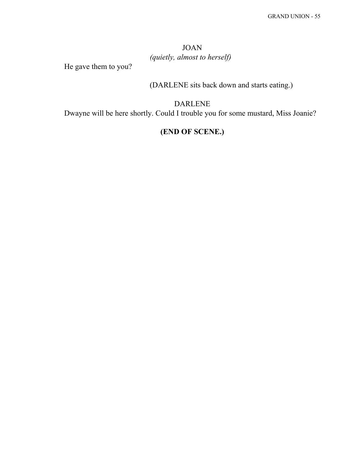# JOAN *(quietly, almost to herself)*

He gave them to you?

(DARLENE sits back down and starts eating.)

DARLENE Dwayne will be here shortly. Could I trouble you for some mustard, Miss Joanie?

# **(END OF SCENE.)**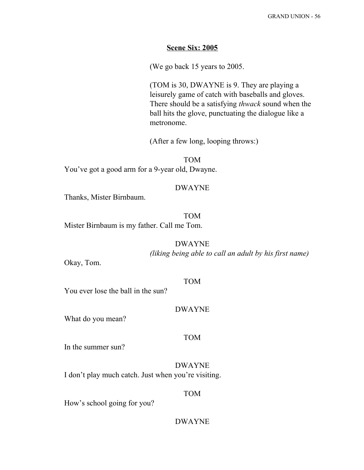#### **Scene Six: 2005**

(We go back 15 years to 2005.

(TOM is 30, DWAYNE is 9. They are playing a leisurely game of catch with baseballs and gloves. There should be a satisfying *thwack* sound when the ball hits the glove, punctuating the dialogue like a metronome.

(After a few long, looping throws:)

TOM You've got a good arm for a 9-year old, Dwayne.

# DWAYNE

Thanks, Mister Birnbaum.

TOM Mister Birnbaum is my father. Call me Tom.

DWAYNE

*(liking being able to call an adult by his first name)*

Okay, Tom.

TOM

You ever lose the ball in the sun?

#### DWAYNE

What do you mean?

#### TOM

In the summer sun?

DWAYNE I don't play much catch. Just when you're visiting.

#### TOM

How's school going for you?

# DWAYNE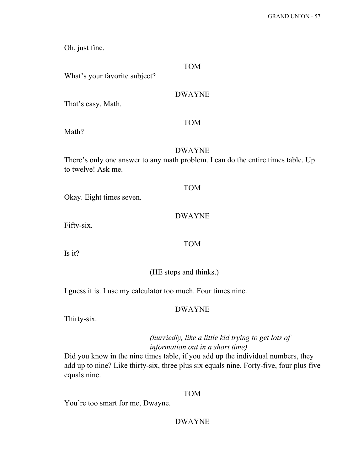Oh, just fine.

# TOM

What's your favorite subject?

# DWAYNE

That's easy. Math.

# TOM

Math?

# DWAYNE

There's only one answer to any math problem. I can do the entire times table. Up to twelve! Ask me.

# TOM

Okay. Eight times seven.

# DWAYNE

Fifty-six.

# TOM

Is it?

# (HE stops and thinks.)

I guess it is. I use my calculator too much. Four times nine.

# DWAYNE

Thirty-six.

# *(hurriedly, like a little kid trying to get lots of information out in a short time)*

Did you know in the nine times table, if you add up the individual numbers, they add up to nine? Like thirty-six, three plus six equals nine. Forty-five, four plus five equals nine.

# TOM

You're too smart for me, Dwayne.

# DWAYNE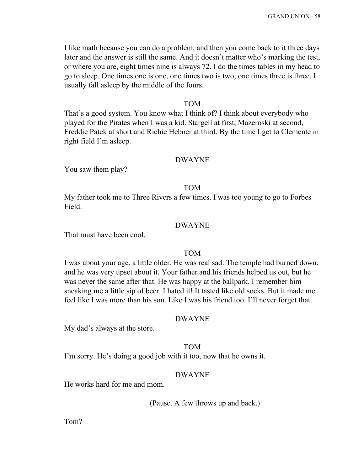I like math because you can do a problem, and then you come back to it three days later and the answer is still the same. And it doesn't matter who's marking the test, or where you are, eight times nine is always 72. I do the times tables in my head to go to sleep. One times one is one, one times two is two, one times three is three. I usually fall asleep by the middle of the fours.

# TOM

That's a good system. You know what I think of? I think about everybody who played for the Pirates when I was a kid. Stargell at first, Mazeroski at second, Freddie Patek at short and Richie Hebner at third. By the time I get to Clemente in right field I'm asleep.

#### DWAYNE

You saw them play?

#### TOM

My father took me to Three Rivers a few times. I was too young to go to Forbes Field.

# DWAYNE

That must have been cool.

#### TOM

I was about your age, a little older. He was real sad. The temple had burned down, and he was very upset about it. Your father and his friends helped us out, but he was never the same after that. He was happy at the ballpark. I remember him sneaking me a little sip of beer. I hated it! It tasted like old socks. But it made me feel like I was more than his son. Like I was his friend too. I'll never forget that.

#### DWAYNE

My dad's always at the store.

# TOM

I'm sorry. He's doing a good job with it too, now that he owns it.

# DWAYNE

He works hard for me and mom.

(Pause. A few throws up and back.)

Tom?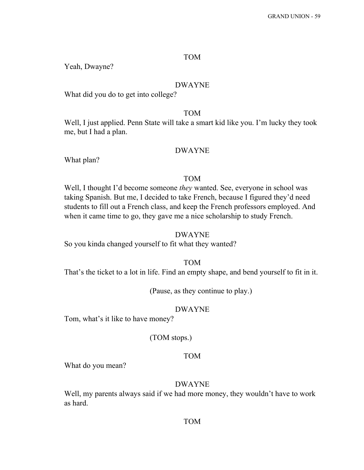#### TOM

Yeah, Dwayne?

#### DWAYNE

What did you do to get into college?

#### TOM

Well, I just applied. Penn State will take a smart kid like you. I'm lucky they took me, but I had a plan.

#### DWAYNE

What plan?

#### TOM

Well, I thought I'd become someone *they* wanted. See, everyone in school was taking Spanish. But me, I decided to take French, because I figured they'd need students to fill out a French class, and keep the French professors employed. And when it came time to go, they gave me a nice scholarship to study French.

#### DWAYNE

So you kinda changed yourself to fit what they wanted?

## TOM

That's the ticket to a lot in life. Find an empty shape, and bend yourself to fit in it.

(Pause, as they continue to play.)

#### DWAYNE

Tom, what's it like to have money?

#### (TOM stops.)

#### TOM

What do you mean?

#### DWAYNE

Well, my parents always said if we had more money, they wouldn't have to work as hard.

#### TOM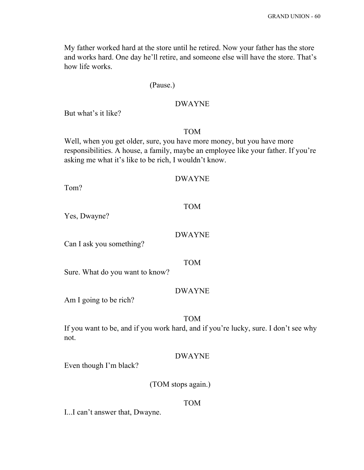My father worked hard at the store until he retired. Now your father has the store and works hard. One day he'll retire, and someone else will have the store. That's how life works.

# (Pause.)

# DWAYNE

But what's it like?

# TOM

Well, when you get older, sure, you have more money, but you have more responsibilities. A house, a family, maybe an employee like your father. If you're asking me what it's like to be rich, I wouldn't know.

TOM

Tom?

Yes, Dwayne?

# DWAYNE

Can I ask you something?

TOM

Sure. What do you want to know?

# DWAYNE

Am I going to be rich?

TOM

If you want to be, and if you work hard, and if you're lucky, sure. I don't see why not.

# DWAYNE

Even though I'm black?

(TOM stops again.)

# TOM

I...I can't answer that, Dwayne.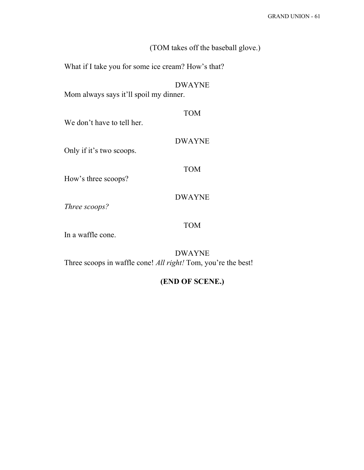|                                                         | (TOM takes off the baseball glove.) |
|---------------------------------------------------------|-------------------------------------|
| What if I take you for some ice cream? How's that?      |                                     |
| <b>DWAYNE</b><br>Mom always says it'll spoil my dinner. |                                     |
| <b>TOM</b><br>We don't have to tell her.                |                                     |
| <b>DWAYNE</b><br>Only if it's two scoops.               |                                     |
| <b>TOM</b><br>How's three scoops?                       |                                     |
| <b>DWAYNE</b><br>Three scoops?                          |                                     |
| <b>TOM</b><br>In a waffle cone.                         |                                     |

DWAYNE Three scoops in waffle cone! *All right!* Tom, you're the best!

# **(END OF SCENE.)**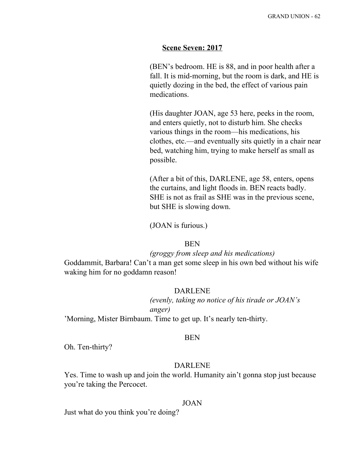# **Scene Seven: 2017**

(BEN's bedroom. HE is 88, and in poor health after a fall. It is mid-morning, but the room is dark, and HE is quietly dozing in the bed, the effect of various pain medications.

(His daughter JOAN, age 53 here, peeks in the room, and enters quietly, not to disturb him. She checks various things in the room—his medications, his clothes, etc.—and eventually sits quietly in a chair near bed, watching him, trying to make herself as small as possible.

(After a bit of this, DARLENE, age 58, enters, opens the curtains, and light floods in. BEN reacts badly. SHE is not as frail as SHE was in the previous scene, but SHE is slowing down.

(JOAN is furious.)

#### BEN

#### *(groggy from sleep and his medications)*

Goddammit, Barbara! Can't a man get some sleep in his own bed without his wife waking him for no goddamn reason!

# DARLENE

*(evenly, taking no notice of his tirade or JOAN's anger)*

'Morning, Mister Birnbaum. Time to get up. It's nearly ten-thirty.

#### BEN

Oh. Ten-thirty?

## DARLENE

Yes. Time to wash up and join the world. Humanity ain't gonna stop just because you're taking the Percocet.

#### JOAN

Just what do you think you're doing?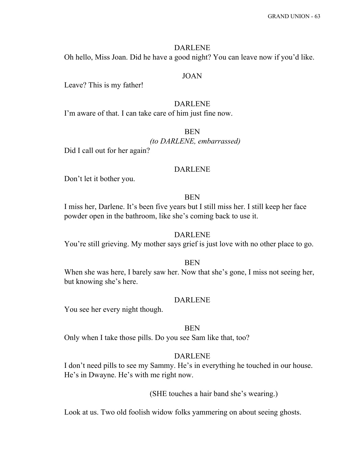#### DARLENE

Oh hello, Miss Joan. Did he have a good night? You can leave now if you'd like.

# JOAN

Leave? This is my father!

# DARLENE

I'm aware of that. I can take care of him just fine now.

# **BEN**

*(to DARLENE, embarrassed)*

Did I call out for her again?

#### DARLENE

Don't let it bother you.

# BEN

I miss her, Darlene. It's been five years but I still miss her. I still keep her face powder open in the bathroom, like she's coming back to use it.

#### DARLENE

You're still grieving. My mother says grief is just love with no other place to go.

# **BEN**

When she was here, I barely saw her. Now that she's gone, I miss not seeing her, but knowing she's here.

#### DARLENE

You see her every night though.

#### BEN

Only when I take those pills. Do you see Sam like that, too?

# DARLENE

I don't need pills to see my Sammy. He's in everything he touched in our house. He's in Dwayne. He's with me right now.

#### (SHE touches a hair band she's wearing.)

Look at us. Two old foolish widow folks yammering on about seeing ghosts.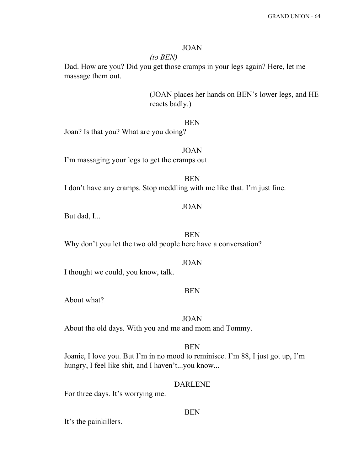# JOAN

# *(to BEN)*

Dad. How are you? Did you get those cramps in your legs again? Here, let me massage them out.

> (JOAN places her hands on BEN's lower legs, and HE reacts badly.)

# BEN

Joan? Is that you? What are you doing?

JOAN

I'm massaging your legs to get the cramps out.

I don't have any cramps. Stop meddling with me like that. I'm just fine.

# JOAN

**BEN** 

But dad, I...

BEN Why don't you let the two old people here have a conversation?

I thought we could, you know, talk.

# BEN

JOAN

About what?

#### JOAN

About the old days. With you and me and mom and Tommy.

# BEN

Joanie, I love you. But I'm in no mood to reminisce. I'm 88, I just got up, I'm hungry, I feel like shit, and I haven't...you know...

#### DARLENE

BEN

For three days. It's worrying me.

It's the painkillers.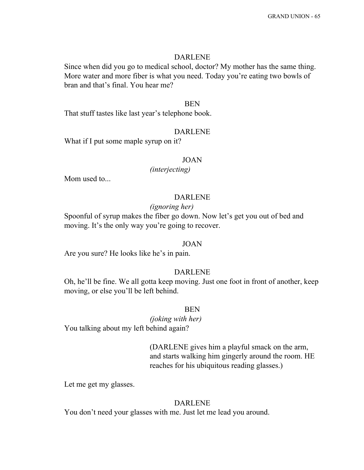#### DARLENE

Since when did you go to medical school, doctor? My mother has the same thing. More water and more fiber is what you need. Today you're eating two bowls of bran and that's final. You hear me?

#### BEN

That stuff tastes like last year's telephone book.

#### DARLENE

What if I put some maple syrup on it?

#### JOAN

*(interjecting)*

Mom used to...

# DARLENE

#### *(ignoring her)*

Spoonful of syrup makes the fiber go down. Now let's get you out of bed and moving. It's the only way you're going to recover.

#### JOAN

Are you sure? He looks like he's in pain.

# DARLENE

Oh, he'll be fine. We all gotta keep moving. Just one foot in front of another, keep moving, or else you'll be left behind.

# BEN

*(joking with her)* You talking about my left behind again?

> (DARLENE gives him a playful smack on the arm, and starts walking him gingerly around the room. HE reaches for his ubiquitous reading glasses.)

Let me get my glasses.

## DARLENE

You don't need your glasses with me. Just let me lead you around.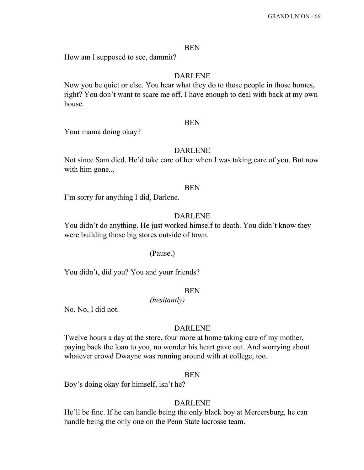#### BEN

How am I supposed to see, dammit?

# DARLENE

Now you be quiet or else. You hear what they do to those people in those homes, right? You don't want to scare me off. I have enough to deal with back at my own house.

#### BEN

Your mama doing okay?

#### DARLENE

Not since Sam died. He'd take care of her when I was taking care of you. But now with him gone...

#### BEN

I'm sorry for anything I did, Darlene.

# DARLENE

You didn't do anything. He just worked himself to death. You didn't know they were building those big stores outside of town.

#### (Pause.)

You didn't, did you? You and your friends?

# BEN

*(hesitantly)*

No. No, I did not.

#### DARLENE

Twelve hours a day at the store, four more at home taking care of my mother, paying back the loan to you, no wonder his heart gave out. And worrying about whatever crowd Dwayne was running around with at college, too.

#### BEN

Boy's doing okay for himself, isn't he?

## DARLENE

He'll be fine. If he can handle being the only black boy at Mercersburg, he can handle being the only one on the Penn State lacrosse team.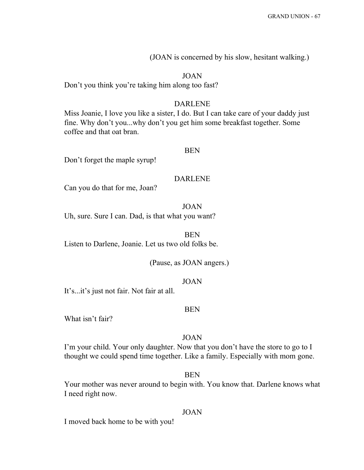(JOAN is concerned by his slow, hesitant walking.)

## JOAN

Don't you think you're taking him along too fast?

# DARLENE

Miss Joanie, I love you like a sister, I do. But I can take care of your daddy just fine. Why don't you...why don't you get him some breakfast together. Some coffee and that oat bran.

#### BEN

Don't forget the maple syrup!

#### DARLENE

Can you do that for me, Joan?

JOAN Uh, sure. Sure I can. Dad, is that what you want?

BEN

Listen to Darlene, Joanie. Let us two old folks be.

(Pause, as JOAN angers.)

#### JOAN

It's...it's just not fair. Not fair at all.

#### BEN

What isn't fair?

# JOAN

I'm your child. Your only daughter. Now that you don't have the store to go to I thought we could spend time together. Like a family. Especially with mom gone.

#### BEN

Your mother was never around to begin with. You know that. Darlene knows what I need right now.

#### JOAN

I moved back home to be with you!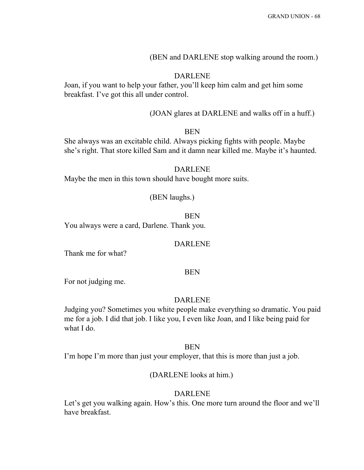# (BEN and DARLENE stop walking around the room.)

# DARLENE

Joan, if you want to help your father, you'll keep him calm and get him some breakfast. I've got this all under control.

(JOAN glares at DARLENE and walks off in a huff.)

# BEN

She always was an excitable child. Always picking fights with people. Maybe she's right. That store killed Sam and it damn near killed me. Maybe it's haunted.

# DARLENE

Maybe the men in this town should have bought more suits.

# (BEN laughs.)

BEN You always were a card, Darlene. Thank you.

#### DARLENE

Thank me for what?

# BEN

For not judging me.

#### DARLENE

Judging you? Sometimes you white people make everything so dramatic. You paid me for a job. I did that job. I like you, I even like Joan, and I like being paid for what I do.

#### BEN

I'm hope I'm more than just your employer, that this is more than just a job.

#### (DARLENE looks at him.)

#### DARLENE

Let's get you walking again. How's this. One more turn around the floor and we'll have breakfast.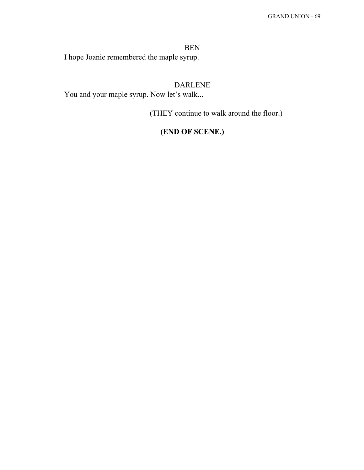BEN I hope Joanie remembered the maple syrup.

# DARLENE

You and your maple syrup. Now let's walk...

(THEY continue to walk around the floor.)

# **(END OF SCENE.)**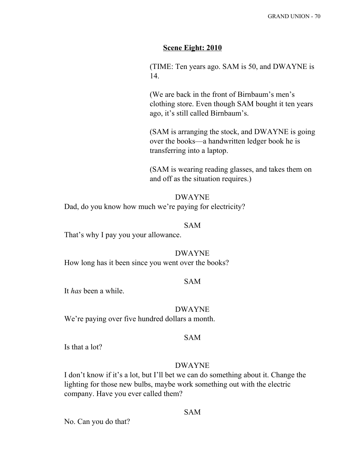# **Scene Eight: 2010**

(TIME: Ten years ago. SAM is 50, and DWAYNE is 14.

(We are back in the front of Birnbaum's men's clothing store. Even though SAM bought it ten years ago, it's still called Birnbaum's.

(SAM is arranging the stock, and DWAYNE is going over the books—a handwritten ledger book he is transferring into a laptop.

(SAM is wearing reading glasses, and takes them on and off as the situation requires.)

DWAYNE Dad, do you know how much we're paying for electricity?

# SAM

That's why I pay you your allowance.

#### DWAYNE

How long has it been since you went over the books?

# SAM

It *has* been a while.

#### DWAYNE

We're paying over five hundred dollars a month.

#### SAM

Is that a lot?

# DWAYNE

I don't know if it's a lot, but I'll bet we can do something about it. Change the lighting for those new bulbs, maybe work something out with the electric company. Have you ever called them?

No. Can you do that?

# SAM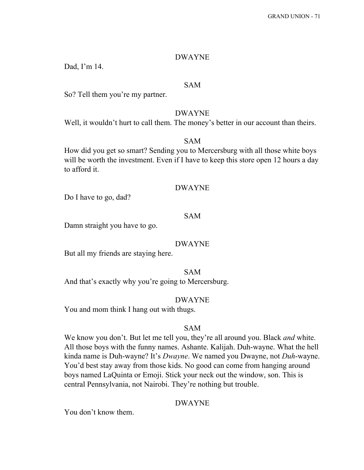#### DWAYNE

Dad, I'm 14.

#### SAM

So? Tell them you're my partner.

#### DWAYNE

Well, it wouldn't hurt to call them. The money's better in our account than theirs.

### SAM

How did you get so smart? Sending you to Mercersburg with all those white boys will be worth the investment. Even if I have to keep this store open 12 hours a day to afford it.

#### DWAYNE

Do I have to go, dad?

### SAM

Damn straight you have to go.

#### DWAYNE

But all my friends are staying here.

SAM And that's exactly why you're going to Mercersburg.

#### DWAYNE

You and mom think I hang out with thugs.

### SAM

We know you don't. But let me tell you, they're all around you. Black *and* white. All those boys with the funny names. Ashante. Kalijah. Duh-wayne. What the hell kinda name is Duh-wayne? It's *Dwayne*. We named you Dwayne, not *Duh*-wayne. You'd best stay away from those kids. No good can come from hanging around boys named LaQuinta or Emoji. Stick your neck out the window, son. This is central Pennsylvania, not Nairobi. They're nothing but trouble.

### DWAYNE

You don't know them.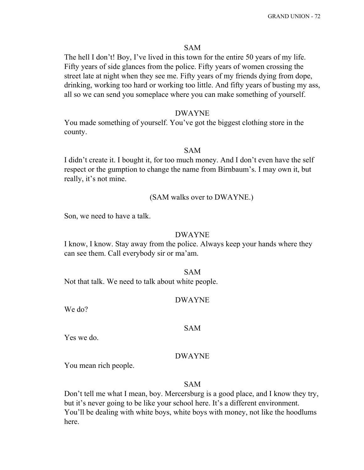### SAM

The hell I don't! Boy, I've lived in this town for the entire 50 years of my life. Fifty years of side glances from the police. Fifty years of women crossing the street late at night when they see me. Fifty years of my friends dying from dope, drinking, working too hard or working too little. And fifty years of busting my ass, all so we can send you someplace where you can make something of yourself.

#### DWAYNE

You made something of yourself. You've got the biggest clothing store in the county.

#### SAM

I didn't create it. I bought it, for too much money. And I don't even have the self respect or the gumption to change the name from Birnbaum's. I may own it, but really, it's not mine.

(SAM walks over to DWAYNE.)

Son, we need to have a talk.

#### DWAYNE

I know, I know. Stay away from the police. Always keep your hands where they can see them. Call everybody sir or ma'am.

### SAM

Not that talk. We need to talk about white people.

#### DWAYNE

We do?

#### SAM

Yes we do.

### DWAYNE

You mean rich people.

#### SAM

Don't tell me what I mean, boy. Mercersburg is a good place, and I know they try, but it's never going to be like your school here. It's a different environment. You'll be dealing with white boys, white boys with money, not like the hoodlums here.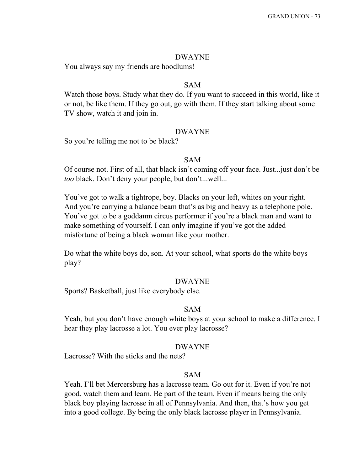#### DWAYNE

You always say my friends are hoodlums!

### SAM

Watch those boys. Study what they do. If you want to succeed in this world, like it or not, be like them. If they go out, go with them. If they start talking about some TV show, watch it and join in.

### DWAYNE

So you're telling me not to be black?

### SAM

Of course not. First of all, that black isn't coming off your face. Just...just don't be *too* black. Don't deny your people, but don't...well...

You've got to walk a tightrope, boy. Blacks on your left, whites on your right. And you're carrying a balance beam that's as big and heavy as a telephone pole. You've got to be a goddamn circus performer if you're a black man and want to make something of yourself. I can only imagine if you've got the added misfortune of being a black woman like your mother.

Do what the white boys do, son. At your school, what sports do the white boys play?

#### DWAYNE

Sports? Basketball, just like everybody else.

#### SAM

Yeah, but you don't have enough white boys at your school to make a difference. I hear they play lacrosse a lot. You ever play lacrosse?

### DWAYNE

Lacrosse? With the sticks and the nets?

#### SAM

Yeah. I'll bet Mercersburg has a lacrosse team. Go out for it. Even if you're not good, watch them and learn. Be part of the team. Even if means being the only black boy playing lacrosse in all of Pennsylvania. And then, that's how you get into a good college. By being the only black lacrosse player in Pennsylvania.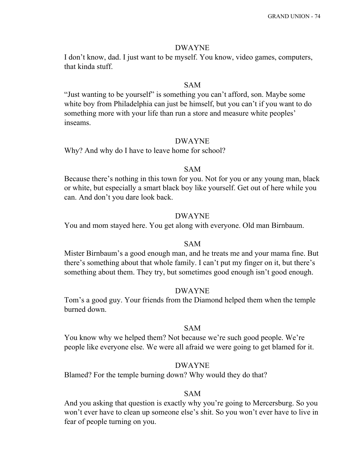#### DWAYNE

I don't know, dad. I just want to be myself. You know, video games, computers, that kinda stuff.

### SAM

"Just wanting to be yourself" is something you can't afford, son. Maybe some white boy from Philadelphia can just be himself, but you can't if you want to do something more with your life than run a store and measure white peoples' inseams.

#### DWAYNE

Why? And why do I have to leave home for school?

#### SAM

Because there's nothing in this town for you. Not for you or any young man, black or white, but especially a smart black boy like yourself. Get out of here while you can. And don't you dare look back.

### DWAYNE

You and mom stayed here. You get along with everyone. Old man Birnbaum.

#### SAM

Mister Birnbaum's a good enough man, and he treats me and your mama fine. But there's something about that whole family. I can't put my finger on it, but there's something about them. They try, but sometimes good enough isn't good enough.

#### DWAYNE

Tom's a good guy. Your friends from the Diamond helped them when the temple burned down.

### SAM

You know why we helped them? Not because we're such good people. We're people like everyone else. We were all afraid we were going to get blamed for it.

#### DWAYNE

Blamed? For the temple burning down? Why would they do that?

### SAM

And you asking that question is exactly why you're going to Mercersburg. So you won't ever have to clean up someone else's shit. So you won't ever have to live in fear of people turning on you.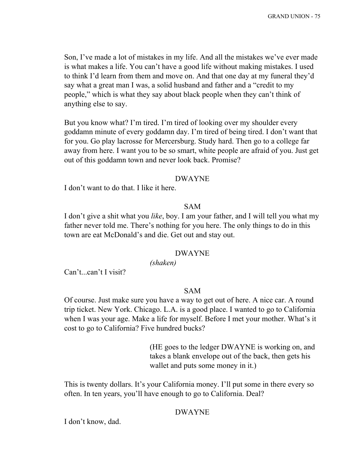Son, I've made a lot of mistakes in my life. And all the mistakes we've ever made is what makes a life. You can't have a good life without making mistakes. I used to think I'd learn from them and move on. And that one day at my funeral they'd say what a great man I was, a solid husband and father and a "credit to my people," which is what they say about black people when they can't think of anything else to say.

But you know what? I'm tired. I'm tired of looking over my shoulder every goddamn minute of every goddamn day. I'm tired of being tired. I don't want that for you. Go play lacrosse for Mercersburg. Study hard. Then go to a college far away from here. I want you to be so smart, white people are afraid of you. Just get out of this goddamn town and never look back. Promise?

#### DWAYNE

I don't want to do that. I like it here.

### SAM

I don't give a shit what you *like*, boy. I am your father, and I will tell you what my father never told me. There's nothing for you here. The only things to do in this town are eat McDonald's and die. Get out and stay out.

#### DWAYNE

*(shaken)*

Can't...can't I visit?

### SAM

Of course. Just make sure you have a way to get out of here. A nice car. A round trip ticket. New York. Chicago. L.A. is a good place. I wanted to go to California when I was your age. Make a life for myself. Before I met your mother. What's it cost to go to California? Five hundred bucks?

> (HE goes to the ledger DWAYNE is working on, and takes a blank envelope out of the back, then gets his wallet and puts some money in it.)

This is twenty dollars. It's your California money. I'll put some in there every so often. In ten years, you'll have enough to go to California. Deal?

#### DWAYNE

I don't know, dad.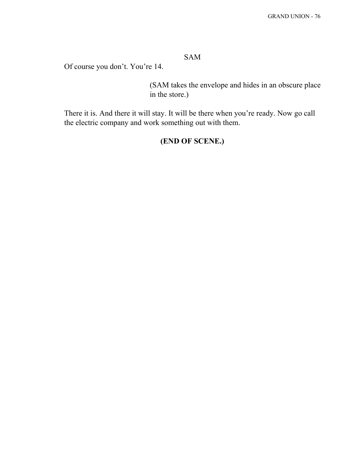### SAM

Of course you don't. You're 14.

(SAM takes the envelope and hides in an obscure place in the store.)

There it is. And there it will stay. It will be there when you're ready. Now go call the electric company and work something out with them.

# **(END OF SCENE.)**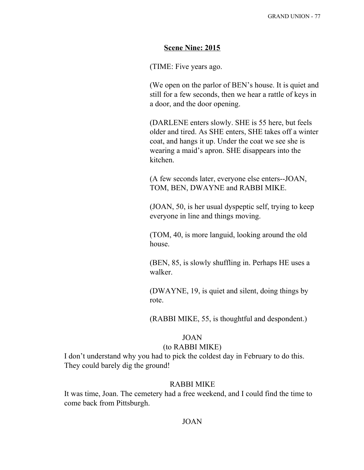### **Scene Nine: 2015**

(TIME: Five years ago.

(We open on the parlor of BEN's house. It is quiet and still for a few seconds, then we hear a rattle of keys in a door, and the door opening.

(DARLENE enters slowly. SHE is 55 here, but feels older and tired. As SHE enters, SHE takes off a winter coat, and hangs it up. Under the coat we see she is wearing a maid's apron. SHE disappears into the kitchen.

(A few seconds later, everyone else enters--JOAN, TOM, BEN, DWAYNE and RABBI MIKE.

(JOAN, 50, is her usual dyspeptic self, trying to keep everyone in line and things moving.

(TOM, 40, is more languid, looking around the old house.

(BEN, 85, is slowly shuffling in. Perhaps HE uses a walker.

(DWAYNE, 19, is quiet and silent, doing things by rote.

(RABBI MIKE, 55, is thoughtful and despondent.)

### JOAN

#### (to RABBI MIKE)

I don't understand why you had to pick the coldest day in February to do this. They could barely dig the ground!

#### RABBI MIKE

It was time, Joan. The cemetery had a free weekend, and I could find the time to come back from Pittsburgh.

### JOAN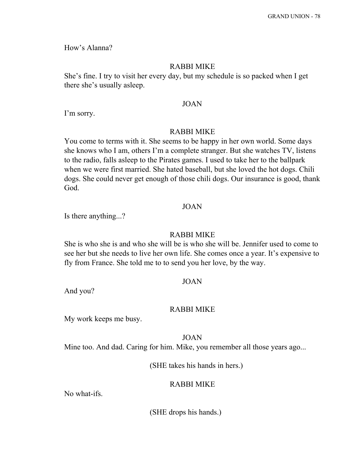How's Alanna?

#### RABBI MIKE

She's fine. I try to visit her every day, but my schedule is so packed when I get there she's usually asleep.

#### JOAN

I'm sorry.

#### RABBI MIKE

You come to terms with it. She seems to be happy in her own world. Some days she knows who I am, others I'm a complete stranger. But she watches TV, listens to the radio, falls asleep to the Pirates games. I used to take her to the ballpark when we were first married. She hated baseball, but she loved the hot dogs. Chili dogs. She could never get enough of those chili dogs. Our insurance is good, thank God.

### JOAN

Is there anything...?

#### RABBI MIKE

She is who she is and who she will be is who she will be. Jennifer used to come to see her but she needs to live her own life. She comes once a year. It's expensive to fly from France. She told me to to send you her love, by the way.

#### JOAN

And you?

#### RABBI MIKE

My work keeps me busy.

JOAN

Mine too. And dad. Caring for him. Mike, you remember all those years ago...

(SHE takes his hands in hers.)

#### RABBI MIKE

No what-ifs.

(SHE drops his hands.)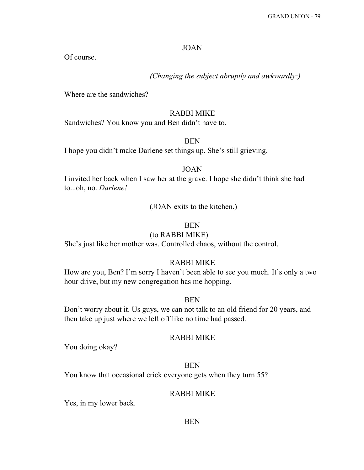### JOAN

Of course.

*(Changing the subject abruptly and awkwardly:)*

Where are the sandwiches?

### RABBI MIKE

Sandwiches? You know you and Ben didn't have to.

### BEN

I hope you didn't make Darlene set things up. She's still grieving.

#### JOAN

I invited her back when I saw her at the grave. I hope she didn't think she had to...oh, no. *Darlene!*

(JOAN exits to the kitchen.)

### BEN

### (to RABBI MIKE)

She's just like her mother was. Controlled chaos, without the control.

### RABBI MIKE

How are you, Ben? I'm sorry I haven't been able to see you much. It's only a two hour drive, but my new congregation has me hopping.

### BEN

Don't worry about it. Us guys, we can not talk to an old friend for 20 years, and then take up just where we left off like no time had passed.

### RABBI MIKE

You doing okay?

#### BEN

You know that occasional crick everyone gets when they turn 55?

### RABBI MIKE

Yes, in my lower back.

#### BEN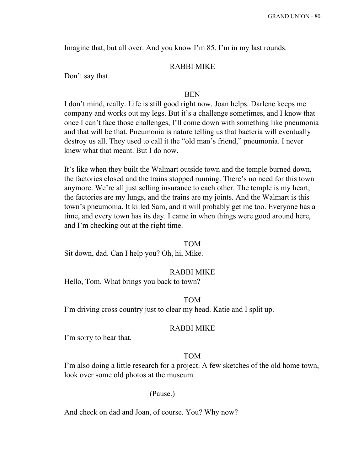Imagine that, but all over. And you know I'm 85. I'm in my last rounds.

### RABBI MIKE

Don't say that.

#### BEN

I don't mind, really. Life is still good right now. Joan helps. Darlene keeps me company and works out my legs. But it's a challenge sometimes, and I know that once I can't face those challenges, I'll come down with something like pneumonia and that will be that. Pneumonia is nature telling us that bacteria will eventually destroy us all. They used to call it the "old man's friend," pneumonia. I never knew what that meant. But I do now.

It's like when they built the Walmart outside town and the temple burned down, the factories closed and the trains stopped running. There's no need for this town anymore. We're all just selling insurance to each other. The temple is my heart, the factories are my lungs, and the trains are my joints. And the Walmart is this town's pneumonia. It killed Sam, and it will probably get me too. Everyone has a time, and every town has its day. I came in when things were good around here, and I'm checking out at the right time.

#### TOM

Sit down, dad. Can I help you? Oh, hi, Mike.

#### RABBI MIKE

Hello, Tom. What brings you back to town?

### TOM

I'm driving cross country just to clear my head. Katie and I split up.

#### RABBI MIKE

I'm sorry to hear that.

### TOM

I'm also doing a little research for a project. A few sketches of the old home town, look over some old photos at the museum.

#### (Pause.)

And check on dad and Joan, of course. You? Why now?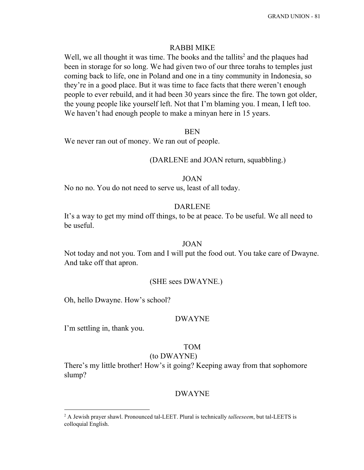### RABBI MIKE

Well, we all thought it was time. The books and the tallits<sup>2</sup> and the plaques had been in storage for so long. We had given two of our three torahs to temples just coming back to life, one in Poland and one in a tiny community in Indonesia, so they're in a good place. But it was time to face facts that there weren't enough people to ever rebuild, and it had been 30 years since the fire. The town got older, the young people like yourself left. Not that I'm blaming you. I mean, I left too. We haven't had enough people to make a minyan here in 15 years.

#### **BEN**

We never ran out of money. We ran out of people.

### (DARLENE and JOAN return, squabbling.)

#### JOAN

No no no. You do not need to serve us, least of all today.

#### DARLENE

It's a way to get my mind off things, to be at peace. To be useful. We all need to be useful.

#### JOAN

Not today and not you. Tom and I will put the food out. You take care of Dwayne. And take off that apron.

#### (SHE sees DWAYNE.)

Oh, hello Dwayne. How's school?

#### DWAYNE

I'm settling in, thank you.

### TOM

### (to DWAYNE)

There's my little brother! How's it going? Keeping away from that sophomore slump?

#### DWAYNE

<sup>2</sup> A Jewish prayer shawl. Pronounced tal-LEET. Plural is technically *talleeseem*, but tal-LEETS is colloquial English.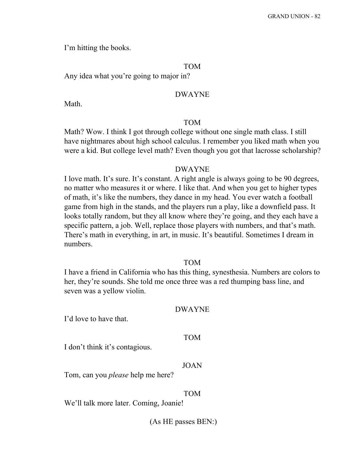I'm hitting the books.

#### TOM

Any idea what you're going to major in?

#### DWAYNE

Math.

#### TOM

Math? Wow. I think I got through college without one single math class. I still have nightmares about high school calculus. I remember you liked math when you were a kid. But college level math? Even though you got that lacrosse scholarship?

#### DWAYNE

I love math. It's sure. It's constant. A right angle is always going to be 90 degrees, no matter who measures it or where. I like that. And when you get to higher types of math, it's like the numbers, they dance in my head. You ever watch a football game from high in the stands, and the players run a play, like a downfield pass. It looks totally random, but they all know where they're going, and they each have a specific pattern, a job. Well, replace those players with numbers, and that's math. There's math in everything, in art, in music. It's beautiful. Sometimes I dream in numbers.

### TOM

I have a friend in California who has this thing, synesthesia. Numbers are colors to her, they're sounds. She told me once three was a red thumping bass line, and seven was a yellow violin.

#### DWAYNE

I'd love to have that.

#### TOM

I don't think it's contagious.

### JOAN

Tom, can you *please* help me here?

#### TOM

We'll talk more later. Coming, Joanie!

(As HE passes BEN:)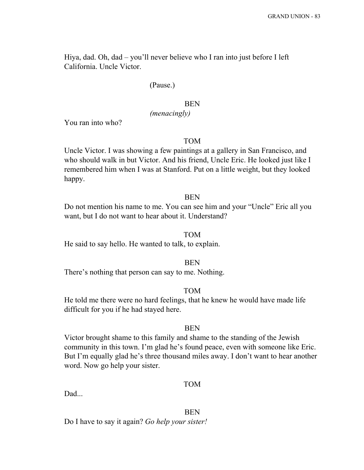Hiya, dad. Oh, dad – you'll never believe who I ran into just before I left California. Uncle Victor.

### (Pause.)

#### BEN

### *(menacingly)*

You ran into who?

### TOM

Uncle Victor. I was showing a few paintings at a gallery in San Francisco, and who should walk in but Victor. And his friend, Uncle Eric. He looked just like I remembered him when I was at Stanford. Put on a little weight, but they looked happy.

#### BEN

Do not mention his name to me. You can see him and your "Uncle" Eric all you want, but I do not want to hear about it. Understand?

#### TOM

He said to say hello. He wanted to talk, to explain.

### **BEN**

There's nothing that person can say to me. Nothing.

### TOM

He told me there were no hard feelings, that he knew he would have made life difficult for you if he had stayed here.

### **BEN**

Victor brought shame to this family and shame to the standing of the Jewish community in this town. I'm glad he's found peace, even with someone like Eric. But I'm equally glad he's three thousand miles away. I don't want to hear another word. Now go help your sister.

#### TOM

Dad...

### **BEN**

Do I have to say it again? *Go help your sister!*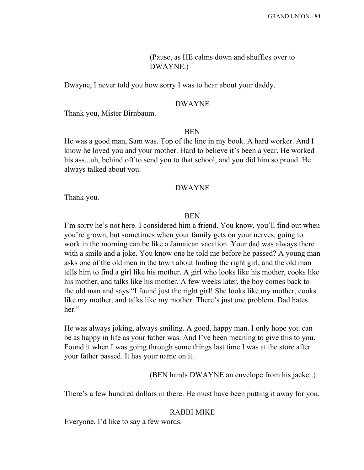(Pause, as HE calms down and shuffles over to DWAYNE.)

Dwayne, I never told you how sorry I was to hear about your daddy.

#### DWAYNE

Thank you, Mister Birnbaum.

#### **BEN**

He was a good man, Sam was. Top of the line in my book. A hard worker. And I know he loved you and your mother. Hard to believe it's been a year. He worked his ass...uh, behind off to send you to that school, and you did him so proud. He always talked about you.

#### DWAYNE

Thank you.

#### **BEN**

I'm sorry he's not here. I considered him a friend. You know, you'll find out when you're grown, but sometimes when your family gets on your nerves, going to work in the morning can be like a Jamaican vacation. Your dad was always there with a smile and a joke. You know one he told me before he passed? A young man asks one of the old men in the town about finding the right girl, and the old man tells him to find a girl like his mother. A girl who looks like his mother, cooks like his mother, and talks like his mother. A few weeks later, the boy comes back to the old man and says "I found just the right girl! She looks like my mother, cooks like my mother, and talks like my mother. There's just one problem. Dad hates her."

He was always joking, always smiling. A good, happy man. I only hope you can be as happy in life as your father was. And I've been meaning to give this to you. Found it when I was going through some things last time I was at the store after your father passed. It has your name on it.

(BEN hands DWAYNE an envelope from his jacket.)

There's a few hundred dollars in there. He must have been putting it away for you.

### RABBI MIKE

Everyone, I'd like to say a few words.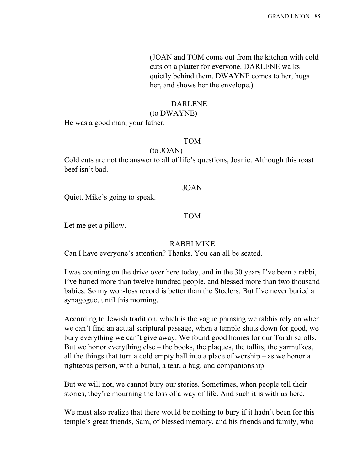(JOAN and TOM come out from the kitchen with cold cuts on a platter for everyone. DARLENE walks quietly behind them. DWAYNE comes to her, hugs her, and shows her the envelope.)

#### DARLENE

(to DWAYNE)

He was a good man, your father.

### TOM

(to JOAN)

Cold cuts are not the answer to all of life's questions, Joanie. Although this roast beef isn't bad.

#### JOAN

Quiet. Mike's going to speak.

### TOM

Let me get a pillow.

### RABBI MIKE

Can I have everyone's attention? Thanks. You can all be seated.

I was counting on the drive over here today, and in the 30 years I've been a rabbi, I've buried more than twelve hundred people, and blessed more than two thousand babies. So my won-loss record is better than the Steelers. But I've never buried a synagogue, until this morning.

According to Jewish tradition, which is the vague phrasing we rabbis rely on when we can't find an actual scriptural passage, when a temple shuts down for good, we bury everything we can't give away. We found good homes for our Torah scrolls. But we honor everything else – the books, the plaques, the tallits, the yarmulkes, all the things that turn a cold empty hall into a place of worship – as we honor a righteous person, with a burial, a tear, a hug, and companionship.

But we will not, we cannot bury our stories. Sometimes, when people tell their stories, they're mourning the loss of a way of life. And such it is with us here.

We must also realize that there would be nothing to bury if it hadn't been for this temple's great friends, Sam, of blessed memory, and his friends and family, who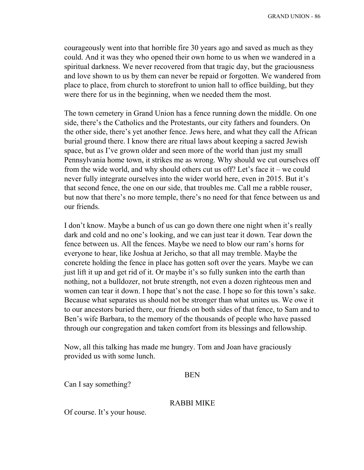courageously went into that horrible fire 30 years ago and saved as much as they could. And it was they who opened their own home to us when we wandered in a spiritual darkness. We never recovered from that tragic day, but the graciousness and love shown to us by them can never be repaid or forgotten. We wandered from place to place, from church to storefront to union hall to office building, but they were there for us in the beginning, when we needed them the most.

The town cemetery in Grand Union has a fence running down the middle. On one side, there's the Catholics and the Protestants, our city fathers and founders. On the other side, there's yet another fence. Jews here, and what they call the African burial ground there. I know there are ritual laws about keeping a sacred Jewish space, but as I've grown older and seen more of the world than just my small Pennsylvania home town, it strikes me as wrong. Why should we cut ourselves off from the wide world, and why should others cut us off? Let's face it – we could never fully integrate ourselves into the wider world here, even in 2015. But it's that second fence, the one on our side, that troubles me. Call me a rabble rouser, but now that there's no more temple, there's no need for that fence between us and our friends.

I don't know. Maybe a bunch of us can go down there one night when it's really dark and cold and no one's looking, and we can just tear it down. Tear down the fence between us. All the fences. Maybe we need to blow our ram's horns for everyone to hear, like Joshua at Jericho, so that all may tremble. Maybe the concrete holding the fence in place has gotten soft over the years. Maybe we can just lift it up and get rid of it. Or maybe it's so fully sunken into the earth than nothing, not a bulldozer, not brute strength, not even a dozen righteous men and women can tear it down. I hope that's not the case. I hope so for this town's sake. Because what separates us should not be stronger than what unites us. We owe it to our ancestors buried there, our friends on both sides of that fence, to Sam and to Ben's wife Barbara, to the memory of the thousands of people who have passed through our congregation and taken comfort from its blessings and fellowship.

Now, all this talking has made me hungry. Tom and Joan have graciously provided us with some lunch.

#### BEN

Can I say something?

#### RABBI MIKE

Of course. It's your house.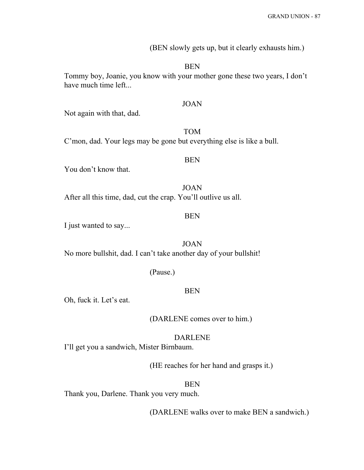(BEN slowly gets up, but it clearly exhausts him.)

BEN

Tommy boy, Joanie, you know with your mother gone these two years, I don't have much time left...

#### JOAN

Not again with that, dad.

### TOM

C'mon, dad. Your legs may be gone but everything else is like a bull.

### BEN

You don't know that.

JOAN After all this time, dad, cut the crap. You'll outlive us all.

### BEN

I just wanted to say...

JOAN No more bullshit, dad. I can't take another day of your bullshit!

#### (Pause.)

### BEN

Oh, fuck it. Let's eat.

(DARLENE comes over to him.)

#### DARLENE

I'll get you a sandwich, Mister Birnbaum.

(HE reaches for her hand and grasps it.)

#### BEN

Thank you, Darlene. Thank you very much.

(DARLENE walks over to make BEN a sandwich.)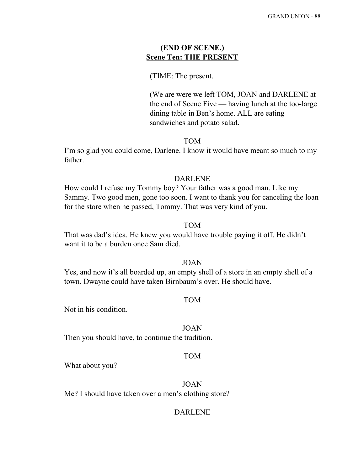### **(END OF SCENE.) Scene Ten: THE PRESENT**

### (TIME: The present.

(We are were we left TOM, JOAN and DARLENE at the end of Scene Five — having lunch at the too-large dining table in Ben's home. ALL are eating sandwiches and potato salad.

### TOM

I'm so glad you could come, Darlene. I know it would have meant so much to my father.

### DARLENE

How could I refuse my Tommy boy? Your father was a good man. Like my Sammy. Two good men, gone too soon. I want to thank you for canceling the loan for the store when he passed, Tommy. That was very kind of you.

### TOM

That was dad's idea. He knew you would have trouble paying it off. He didn't want it to be a burden once Sam died.

### JOAN

Yes, and now it's all boarded up, an empty shell of a store in an empty shell of a town. Dwayne could have taken Birnbaum's over. He should have.

#### TOM

Not in his condition.

#### JOAN

Then you should have, to continue the tradition.

### TOM

What about you?

JOAN Me? I should have taken over a men's clothing store?

#### DARLENE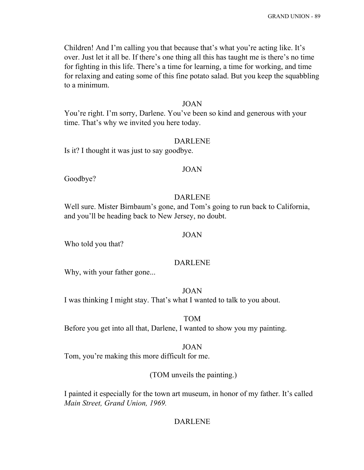Children! And I'm calling you that because that's what you're acting like. It's over. Just let it all be. If there's one thing all this has taught me is there's no time for fighting in this life. There's a time for learning, a time for working, and time for relaxing and eating some of this fine potato salad. But you keep the squabbling to a minimum.

#### JOAN

You're right. I'm sorry, Darlene. You've been so kind and generous with your time. That's why we invited you here today.

#### DARLENE

Is it? I thought it was just to say goodbye.

#### JOAN

Goodbye?

### DARLENE

Well sure. Mister Birnbaum's gone, and Tom's going to run back to California, and you'll be heading back to New Jersey, no doubt.

### JOAN

Who told you that?

### DARLENE

Why, with your father gone...

#### JOAN

I was thinking I might stay. That's what I wanted to talk to you about.

### TOM

Before you get into all that, Darlene, I wanted to show you my painting.

#### JOAN

Tom, you're making this more difficult for me.

### (TOM unveils the painting.)

I painted it especially for the town art museum, in honor of my father. It's called *Main Street, Grand Union, 1969.*

### DARLENE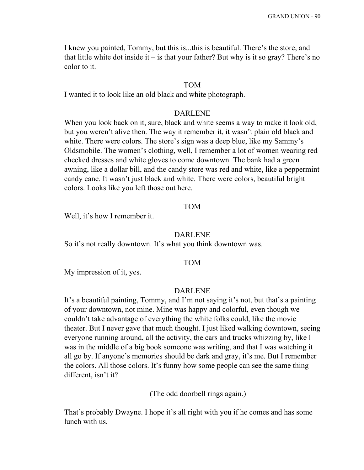I knew you painted, Tommy, but this is...this is beautiful. There's the store, and that little white dot inside it – is that your father? But why is it so gray? There's no color to it.

#### TOM

I wanted it to look like an old black and white photograph.

#### DARLENE

When you look back on it, sure, black and white seems a way to make it look old, but you weren't alive then. The way it remember it, it wasn't plain old black and white. There were colors. The store's sign was a deep blue, like my Sammy's Oldsmobile. The women's clothing, well, I remember a lot of women wearing red checked dresses and white gloves to come downtown. The bank had a green awning, like a dollar bill, and the candy store was red and white, like a peppermint candy cane. It wasn't just black and white. There were colors, beautiful bright colors. Looks like you left those out here.

### TOM

Well, it's how I remember it.

#### DARLENE

So it's not really downtown. It's what you think downtown was.

#### TOM

My impression of it, yes.

#### DARLENE

It's a beautiful painting, Tommy, and I'm not saying it's not, but that's a painting of your downtown, not mine. Mine was happy and colorful, even though we couldn't take advantage of everything the white folks could, like the movie theater. But I never gave that much thought. I just liked walking downtown, seeing everyone running around, all the activity, the cars and trucks whizzing by, like I was in the middle of a big book someone was writing, and that I was watching it all go by. If anyone's memories should be dark and gray, it's me. But I remember the colors. All those colors. It's funny how some people can see the same thing different, isn't it?

(The odd doorbell rings again.)

That's probably Dwayne. I hope it's all right with you if he comes and has some lunch with us.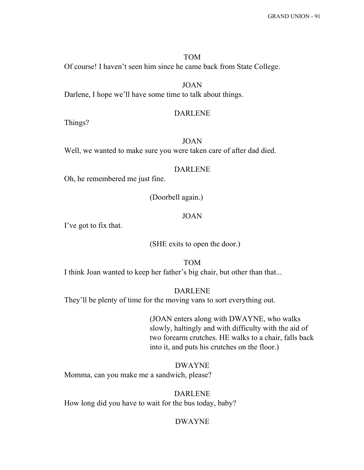### TOM Of course! I haven't seen him since he came back from State College.

JOAN Darlene, I hope we'll have some time to talk about things.

#### DARLENE

Things?

### JOAN

Well, we wanted to make sure you were taken care of after dad died.

#### DARLENE

Oh, he remembered me just fine.

(Doorbell again.)

### JOAN

I've got to fix that.

(SHE exits to open the door.)

TOM I think Joan wanted to keep her father's big chair, but other than that...

DARLENE They'll be plenty of time for the moving vans to sort everything out.

> (JOAN enters along with DWAYNE, who walks slowly, haltingly and with difficulty with the aid of two forearm crutches. HE walks to a chair, falls back into it, and puts his crutches on the floor.)

DWAYNE Momma, can you make me a sandwich, please?

DARLENE How long did you have to wait for the bus today, baby?

#### DWAYNE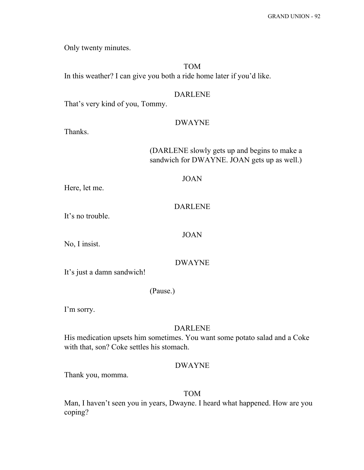Only twenty minutes.

TOM In this weather? I can give you both a ride home later if you'd like.

#### DARLENE

That's very kind of you, Tommy.

#### DWAYNE

Thanks.

(DARLENE slowly gets up and begins to make a sandwich for DWAYNE. JOAN gets up as well.)

#### JOAN

Here, let me.

### DARLENE

It's no trouble.

### JOAN

No, I insist.

### DWAYNE

It's just a damn sandwich!

(Pause.)

I'm sorry.

### DARLENE

His medication upsets him sometimes. You want some potato salad and a Coke with that, son? Coke settles his stomach.

### DWAYNE

Thank you, momma.

#### TOM

Man, I haven't seen you in years, Dwayne. I heard what happened. How are you coping?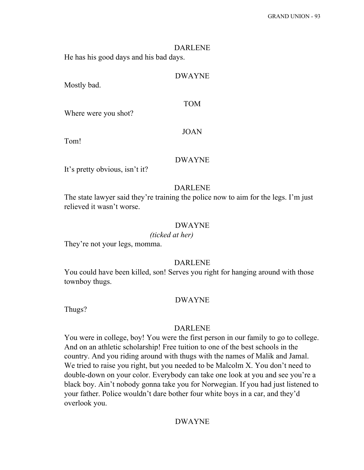# DARLENE

He has his good days and his bad days.

### DWAYNE

Mostly bad.

### TOM

Where were you shot?

#### JOAN

Tom!

### DWAYNE

It's pretty obvious, isn't it?

#### DARLENE

The state lawyer said they're training the police now to aim for the legs. I'm just relieved it wasn't worse.

### DWAYNE

#### *(ticked at her)*

They're not your legs, momma.

### DARLENE

You could have been killed, son! Serves you right for hanging around with those townboy thugs.

### DWAYNE

Thugs?

### DARLENE

You were in college, boy! You were the first person in our family to go to college. And on an athletic scholarship! Free tuition to one of the best schools in the country. And you riding around with thugs with the names of Malik and Jamal. We tried to raise you right, but you needed to be Malcolm X. You don't need to double-down on your color. Everybody can take one look at you and see you're a black boy. Ain't nobody gonna take you for Norwegian. If you had just listened to your father. Police wouldn't dare bother four white boys in a car, and they'd overlook you.

### DWAYNE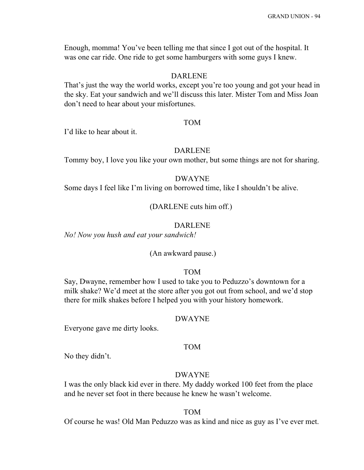Enough, momma! You've been telling me that since I got out of the hospital. It was one car ride. One ride to get some hamburgers with some guys I knew.

### DARLENE

That's just the way the world works, except you're too young and got your head in the sky. Eat your sandwich and we'll discuss this later. Mister Tom and Miss Joan don't need to hear about your misfortunes.

#### TOM

I'd like to hear about it.

#### DARLENE

Tommy boy, I love you like your own mother, but some things are not for sharing.

#### DWAYNE

Some days I feel like I'm living on borrowed time, like I shouldn't be alive.

(DARLENE cuts him off.)

### DARLENE

*No! Now you hush and eat your sandwich!*

#### (An awkward pause.)

### TOM

Say, Dwayne, remember how I used to take you to Peduzzo's downtown for a milk shake? We'd meet at the store after you got out from school, and we'd stop there for milk shakes before I helped you with your history homework.

#### DWAYNE

Everyone gave me dirty looks.

### TOM

No they didn't.

#### DWAYNE

I was the only black kid ever in there. My daddy worked 100 feet from the place and he never set foot in there because he knew he wasn't welcome.

#### TOM

Of course he was! Old Man Peduzzo was as kind and nice as guy as I've ever met.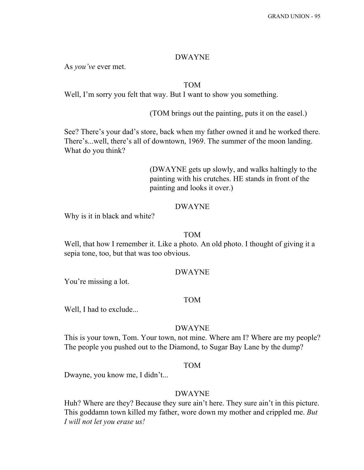### DWAYNE

As *you've* ever met.

### TOM

Well, I'm sorry you felt that way. But I want to show you something.

(TOM brings out the painting, puts it on the easel.)

See? There's your dad's store, back when my father owned it and he worked there. There's...well, there's all of downtown, 1969. The summer of the moon landing. What do you think?

> (DWAYNE gets up slowly, and walks haltingly to the painting with his crutches. HE stands in front of the painting and looks it over.)

### DWAYNE

Why is it in black and white?

### TOM

Well, that how I remember it. Like a photo. An old photo. I thought of giving it a sepia tone, too, but that was too obvious.

#### DWAYNE

You're missing a lot.

#### TOM

Well, I had to exclude...

#### DWAYNE

This is your town, Tom. Your town, not mine. Where am I? Where are my people? The people you pushed out to the Diamond, to Sugar Bay Lane by the dump?

### TOM

Dwayne, you know me, I didn't...

#### DWAYNE

Huh? Where are they? Because they sure ain't here. They sure ain't in this picture. This goddamn town killed my father, wore down my mother and crippled me. *But I will not let you erase us!*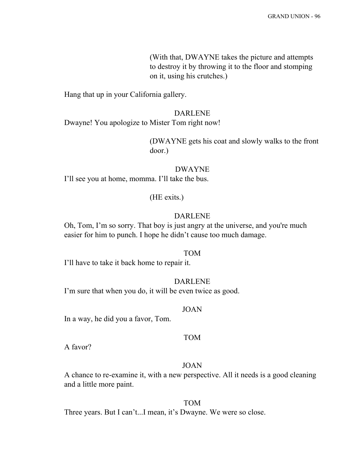(With that, DWAYNE takes the picture and attempts to destroy it by throwing it to the floor and stomping on it, using his crutches.)

Hang that up in your California gallery.

#### DARLENE

Dwayne! You apologize to Mister Tom right now!

(DWAYNE gets his coat and slowly walks to the front door.)

## DWAYNE

I'll see you at home, momma. I'll take the bus.

### (HE exits.)

### DARLENE

Oh, Tom, I'm so sorry. That boy is just angry at the universe, and you're much easier for him to punch. I hope he didn't cause too much damage.

#### TOM

I'll have to take it back home to repair it.

### DARLENE

I'm sure that when you do, it will be even twice as good.

#### JOAN

In a way, he did you a favor, Tom.

### TOM

A favor?

### JOAN

A chance to re-examine it, with a new perspective. All it needs is a good cleaning and a little more paint.

### TOM

Three years. But I can't...I mean, it's Dwayne. We were so close.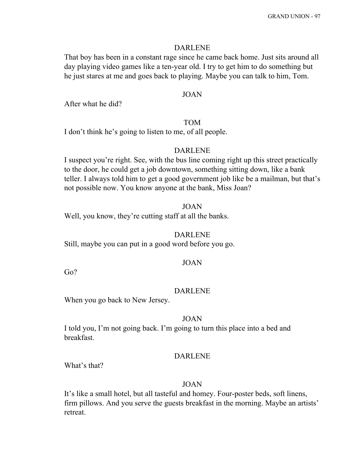#### DARLENE

That boy has been in a constant rage since he came back home. Just sits around all day playing video games like a ten-year old. I try to get him to do something but he just stares at me and goes back to playing. Maybe you can talk to him, Tom.

### JOAN

After what he did?

#### TOM

I don't think he's going to listen to me, of all people.

#### DARLENE

I suspect you're right. See, with the bus line coming right up this street practically to the door, he could get a job downtown, something sitting down, like a bank teller. I always told him to get a good government job like be a mailman, but that's not possible now. You know anyone at the bank, Miss Joan?

### JOAN

Well, you know, they're cutting staff at all the banks.

#### DARLENE

Still, maybe you can put in a good word before you go.

#### JOAN

Go?

#### DARLENE

When you go back to New Jersey.

#### JOAN

I told you, I'm not going back. I'm going to turn this place into a bed and breakfast.

#### DARLENE

What's that?

#### JOAN

It's like a small hotel, but all tasteful and homey. Four-poster beds, soft linens, firm pillows. And you serve the guests breakfast in the morning. Maybe an artists' retreat.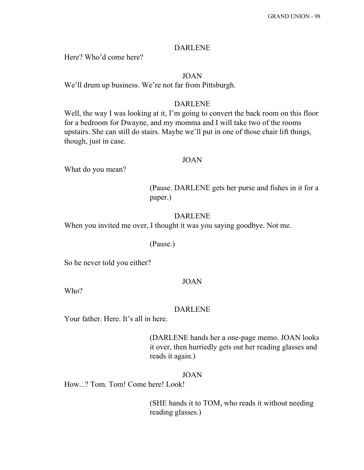#### DARLENE

Here? Who'd come here?

### JOAN

We'll drum up business. We're not far from Pittsburgh.

### DARLENE

Well, the way I was looking at it, I'm going to convert the back room on this floor for a bedroom for Dwayne, and my momma and I will take two of the rooms upstairs. She can still do stairs. Maybe we'll put in one of those chair lift things, though, just in case.

#### JOAN

What do you mean?

(Pause. DARLENE gets her purse and fishes in it for a paper.)

### DARLENE

When you invited me over, I thought it was you saying goodbye. Not me.

#### (Pause.)

So he never told you either?

### JOAN

Who?

#### DARLENE

Your father. Here. It's all in here.

(DARLENE hands her a one-page memo. JOAN looks it over, then hurriedly gets out her reading glasses and reads it again.)

### JOAN

How...? Tom. Tom! Come here! Look!

(SHE hands it to TOM, who reads it without needing reading glasses.)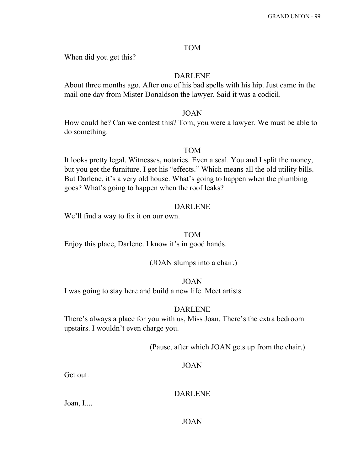### TOM

When did you get this?

### DARLENE

About three months ago. After one of his bad spells with his hip. Just came in the mail one day from Mister Donaldson the lawyer. Said it was a codicil.

### JOAN

How could he? Can we contest this? Tom, you were a lawyer. We must be able to do something.

### TOM

It looks pretty legal. Witnesses, notaries. Even a seal. You and I split the money, but you get the furniture. I get his "effects." Which means all the old utility bills. But Darlene, it's a very old house. What's going to happen when the plumbing goes? What's going to happen when the roof leaks?

### DARLENE

We'll find a way to fix it on our own.

### TOM

Enjoy this place, Darlene. I know it's in good hands.

(JOAN slumps into a chair.)

### JOAN

I was going to stay here and build a new life. Meet artists.

### DARLENE

There's always a place for you with us, Miss Joan. There's the extra bedroom upstairs. I wouldn't even charge you.

(Pause, after which JOAN gets up from the chair.)

### JOAN

Get out.

### DARLENE

Joan, I....

### JOAN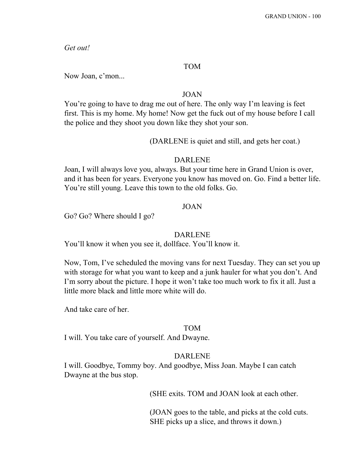*Get out!*

### TOM

Now Joan, c'mon...

### JOAN

You're going to have to drag me out of here. The only way I'm leaving is feet first. This is my home. My home! Now get the fuck out of my house before I call the police and they shoot you down like they shot your son.

#### (DARLENE is quiet and still, and gets her coat.)

### DARLENE

Joan, I will always love you, always. But your time here in Grand Union is over, and it has been for years. Everyone you know has moved on. Go. Find a better life. You're still young. Leave this town to the old folks. Go.

### JOAN

Go? Go? Where should I go?

#### DARLENE

You'll know it when you see it, dollface. You'll know it.

Now, Tom, I've scheduled the moving vans for next Tuesday. They can set you up with storage for what you want to keep and a junk hauler for what you don't. And I'm sorry about the picture. I hope it won't take too much work to fix it all. Just a little more black and little more white will do.

And take care of her.

### TOM

I will. You take care of yourself. And Dwayne.

### DARLENE

I will. Goodbye, Tommy boy. And goodbye, Miss Joan. Maybe I can catch Dwayne at the bus stop.

(SHE exits. TOM and JOAN look at each other.

(JOAN goes to the table, and picks at the cold cuts. SHE picks up a slice, and throws it down.)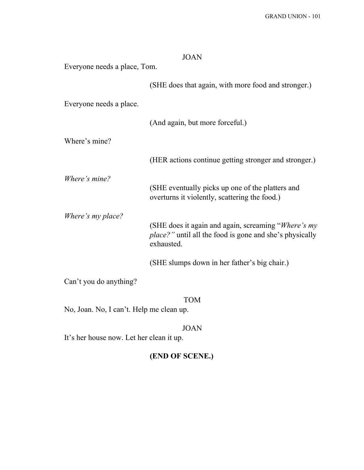| <b>JOAN</b>                  |                                                                                                                                     |
|------------------------------|-------------------------------------------------------------------------------------------------------------------------------------|
| Everyone needs a place, Tom. |                                                                                                                                     |
|                              | (SHE does that again, with more food and stronger.)                                                                                 |
| Everyone needs a place.      |                                                                                                                                     |
|                              | (And again, but more forceful.)                                                                                                     |
| Where's mine?                |                                                                                                                                     |
|                              | (HER actions continue getting stronger and stronger.)                                                                               |
| <i>Where's mine?</i>         | (SHE eventually picks up one of the platters and<br>overturns it violently, scattering the food.)                                   |
| Where's my place?            | (SHE does it again and again, screaming "Where's my<br><i>place?"</i> until all the food is gone and she's physically<br>exhausted. |
|                              | (SHE slumps down in her father's big chair.)                                                                                        |
| Can't you do anything?       |                                                                                                                                     |
|                              | <b>TOM</b>                                                                                                                          |

No, Joan. No, I can't. Help me clean up.

JOAN

It's her house now. Let her clean it up.

# **(END OF SCENE.)**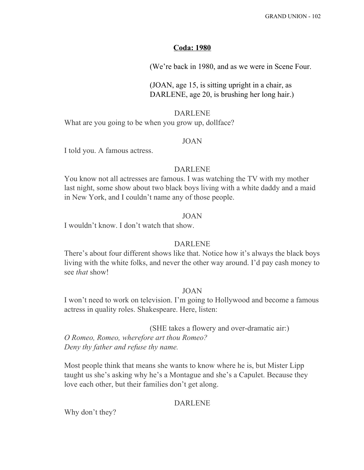### **Coda: 1980**

(We're back in 1980, and as we were in Scene Four.

(JOAN, age 15, is sitting upright in a chair, as DARLENE, age 20, is brushing her long hair.)

#### DARLENE

What are you going to be when you grow up, dollface?

### JOAN

I told you. A famous actress.

#### DARLENE

You know not all actresses are famous. I was watching the TV with my mother last night, some show about two black boys living with a white daddy and a maid in New York, and I couldn't name any of those people.

#### JOAN

I wouldn't know. I don't watch that show.

### DARLENE

There's about four different shows like that. Notice how it's always the black boys living with the white folks, and never the other way around. I'd pay cash money to see *that* show!

### JOAN

I won't need to work on television. I'm going to Hollywood and become a famous actress in quality roles. Shakespeare. Here, listen:

(SHE takes a flowery and over-dramatic air:) *O Romeo, Romeo, wherefore art thou Romeo? Deny thy father and refuse thy name.*

Most people think that means she wants to know where he is, but Mister Lipp taught us she's asking why he's a Montague and she's a Capulet. Because they love each other, but their families don't get along.

### DARLENE

Why don't they?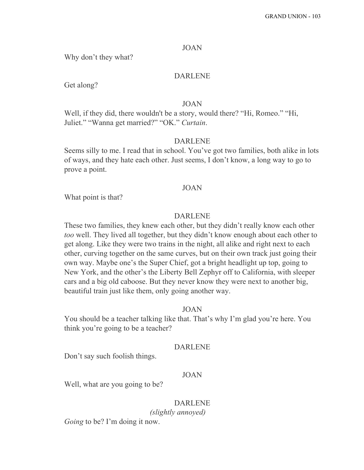#### JOAN

Why don't they what?

### DARLENE

Get along?

#### JOAN

Well, if they did, there wouldn't be a story, would there? "Hi, Romeo." "Hi, Juliet." "Wanna get married?" "OK." *Curtain*.

#### DARLENE

Seems silly to me. I read that in school. You've got two families, both alike in lots of ways, and they hate each other. Just seems, I don't know, a long way to go to prove a point.

#### JOAN

What point is that?

#### DARLENE

These two families, they knew each other, but they didn't really know each other *too* well. They lived all together, but they didn't know enough about each other to get along. Like they were two trains in the night, all alike and right next to each other, curving together on the same curves, but on their own track just going their own way. Maybe one's the Super Chief, got a bright headlight up top, going to New York, and the other's the Liberty Bell Zephyr off to California, with sleeper cars and a big old caboose. But they never know they were next to another big, beautiful train just like them, only going another way.

#### JOAN

You should be a teacher talking like that. That's why I'm glad you're here. You think you're going to be a teacher?

### DARLENE

Don't say such foolish things.

#### JOAN

Well, what are you going to be?

### DARLENE

*(slightly annoyed)*

*Going* to be? I'm doing it now.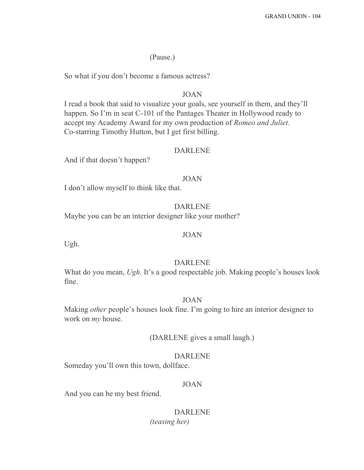(Pause.)

So what if you don't become a famous actress?

### JOAN

I read a book that said to visualize your goals, see yourself in them, and they'll happen. So I'm in seat C-101 of the Pantages Theater in Hollywood ready to accept my Academy Award for my own production of *Romeo and Juliet.* Co-starring Timothy Hutton, but I get first billing.

#### DARLENE

And if that doesn't happen?

### JOAN

I don't allow myself to think like that.

### DARLENE

Maybe you can be an interior designer like your mother?

### JOAN

Ugh.

### DARLENE

What do you mean, *Ugh*. It's a good respectable job. Making people's houses look fine.

### JOAN

Making *other* people's houses look fine. I'm going to hire an interior designer to work on *my* house.

### (DARLENE gives a small laugh.)

#### DARLENE

Someday you'll own this town, dollface.

### JOAN

And you can be my best friend.

### DARLENE *(teasing her)*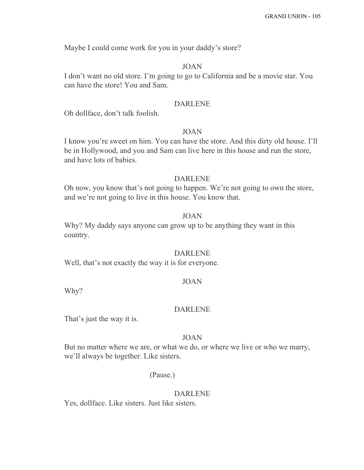Maybe I could come work for you in your daddy's store?

### JOAN

I don't want no old store. I'm going to go to California and be a movie star. You can have the store! You and Sam.

#### DARLENE

Oh dollface, don't talk foolish.

### JOAN

I know you're sweet on him. You can have the store. And this dirty old house. I'll be in Hollywood, and you and Sam can live here in this house and run the store, and have lots of babies.

#### DARLENE

Oh now, you know that's not going to happen. We're not going to own the store, and we're not going to live in this house. You know that.

### JOAN

Why? My daddy says anyone can grow up to be anything they want in this country.

#### DARLENE

Well, that's not exactly the way it is for everyone.

#### JOAN

Why?

#### DARLENE

That's just the way it is.

#### JOAN

But no matter where we are, or what we do, or where we live or who we marry, we'll always be together. Like sisters.

#### (Pause.)

#### DARLENE

Yes, dollface. Like sisters. Just like sisters.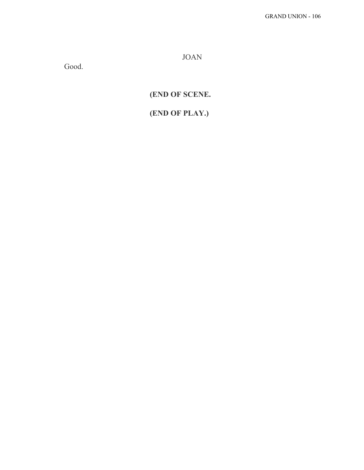JOAN

Good.

**(END OF SCENE.**

# **(END OF PLAY.)**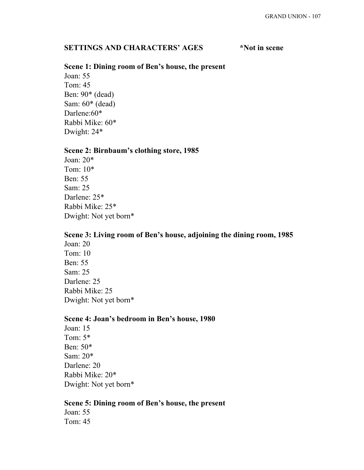## **SETTINGS** AND **CHARACTERS'** AGES \*Not in scene

### **Scene 1: Dining room of Ben's house, the present**

Joan: 55 Tom: 45 Ben: 90\* (dead) Sam: 60\* (dead) Darlene:60\* Rabbi Mike: 60\* Dwight: 24\*

#### **Scene 2: Birnbaum's clothing store, 1985**

Joan: 20\* Tom: 10\* Ben: 55 Sam: 25 Darlene: 25\* Rabbi Mike: 25\* Dwight: Not yet born\*

# **Scene 3: Living room of Ben's house, adjoining the dining room, 1985**

Joan: 20 Tom: 10 Ben: 55 Sam: 25 Darlene: 25 Rabbi Mike: 25 Dwight: Not yet born\*

#### **Scene 4: Joan's bedroom in Ben's house, 1980**

Joan: 15 Tom: 5\* Ben: 50\* Sam: 20\* Darlene: 20 Rabbi Mike: 20\* Dwight: Not yet born\*

#### **Scene 5: Dining room of Ben's house, the present**

Joan: 55 Tom: 45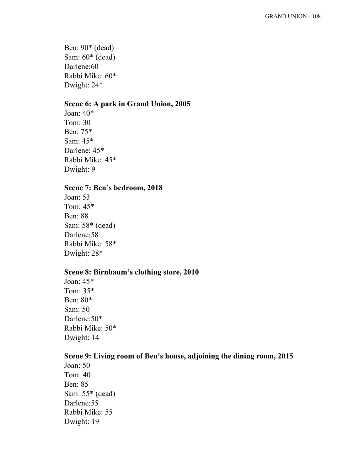Ben: 90\* (dead) Sam: 60\* (dead) Darlene:60 Rabbi Mike: 60\* Dwight: 24\*

## **Scene 6: A park in Grand Union, 2005**

Joan: 40\* Tom: 30 Ben: 75\* Sam: 45\* Darlene: 45\* Rabbi Mike: 45\* Dwight: 9

## **Scene 7: Ben's bedroom, 2018**

Joan: 53 Tom: 45\* Ben: 88 Sam: 58\* (dead) Darlene:58 Rabbi Mike: 58\* Dwight: 28\*

# **Scene 8: Birnbaum's clothing store, 2010**

Joan: 45\* Tom: 35\* Ben: 80\* Sam: 50 Darlene:50\* Rabbi Mike: 50\* Dwight: 14

#### **Scene 9: Living room of Ben's house, adjoining the dining room, 2015**

Joan: 50 Tom: 40 Ben: 85 Sam: 55\* (dead) Darlene:55 Rabbi Mike: 55 Dwight: 19